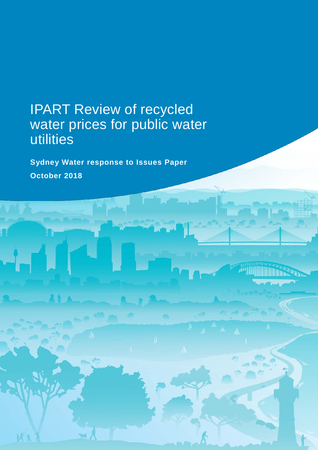# IPART Review of recycled water prices for public water utilities

**Sydney Water response to Issues Paper October 2018**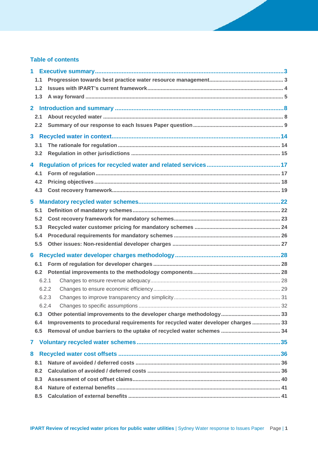### **Table of contents**

| $1 -$          |       |                                                                                  |    |  |
|----------------|-------|----------------------------------------------------------------------------------|----|--|
|                | 1.1   |                                                                                  |    |  |
|                | 1.2   |                                                                                  |    |  |
|                | 1.3   |                                                                                  |    |  |
| $\overline{2}$ |       |                                                                                  |    |  |
|                | 2.1   |                                                                                  |    |  |
|                | 2.2   |                                                                                  |    |  |
|                |       |                                                                                  |    |  |
|                |       |                                                                                  |    |  |
|                | 3.1   |                                                                                  |    |  |
|                | 3.2   |                                                                                  |    |  |
|                |       |                                                                                  |    |  |
|                | 4.1   |                                                                                  |    |  |
|                | 4.2   |                                                                                  |    |  |
|                | 4.3   |                                                                                  |    |  |
|                |       |                                                                                  |    |  |
|                | 5.1   |                                                                                  |    |  |
|                | 5.2   |                                                                                  |    |  |
|                | 5.3   |                                                                                  |    |  |
|                | 5.4   |                                                                                  |    |  |
|                | 5.5   |                                                                                  |    |  |
| 6              |       |                                                                                  |    |  |
|                | 6.1   |                                                                                  |    |  |
|                | 6.2   |                                                                                  |    |  |
|                | 6.2.1 |                                                                                  |    |  |
|                | 6.2.2 |                                                                                  |    |  |
|                | 6.2.3 |                                                                                  |    |  |
|                | 6.2.4 |                                                                                  | 32 |  |
|                | 6.3   |                                                                                  |    |  |
|                | 6.4   | Improvements to procedural requirements for recycled water developer charges  33 |    |  |
|                | 6.5   |                                                                                  |    |  |
|                |       |                                                                                  |    |  |
| 7              |       |                                                                                  |    |  |
| 8              |       |                                                                                  |    |  |
|                | 8.1   |                                                                                  |    |  |
|                | 8.2   |                                                                                  |    |  |
|                | 8.3   |                                                                                  |    |  |
|                | 8.4   |                                                                                  |    |  |
|                | 8.5   |                                                                                  |    |  |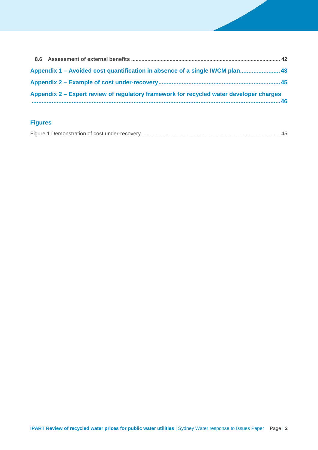| Appendix 1 – Avoided cost quantification in absence of a single IWCM plan 43            |  |
|-----------------------------------------------------------------------------------------|--|
|                                                                                         |  |
| Appendix 2 – Expert review of regulatory framework for recycled water developer charges |  |

## **Figures**

|--|--|--|--|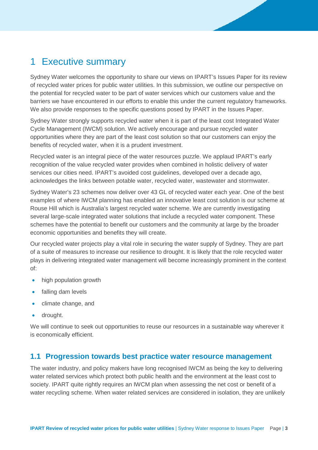## 1 Executive summary

Sydney Water welcomes the opportunity to share our views on IPART's Issues Paper for its review of recycled water prices for public water utilities. In this submission, we outline our perspective on the potential for recycled water to be part of water services which our customers value and the barriers we have encountered in our efforts to enable this under the current regulatory frameworks. We also provide responses to the specific questions posed by IPART in the Issues Paper.

Sydney Water strongly supports recycled water when it is part of the least cost Integrated Water Cycle Management (IWCM) solution. We actively encourage and pursue recycled water opportunities where they are part of the least cost solution so that our customers can enjoy the benefits of recycled water, when it is a prudent investment.

Recycled water is an integral piece of the water resources puzzle. We applaud IPART's early recognition of the value recycled water provides when combined in holistic delivery of water services our cities need. IPART's avoided cost guidelines, developed over a decade ago, acknowledges the links between potable water, recycled water, wastewater and stormwater.

Sydney Water's 23 schemes now deliver over 43 GL of recycled water each year. One of the best examples of where IWCM planning has enabled an innovative least cost solution is our scheme at Rouse Hill which is Australia's largest recycled water scheme. We are currently investigating several large-scale integrated water solutions that include a recycled water component. These schemes have the potential to benefit our customers and the community at large by the broader economic opportunities and benefits they will create.

Our recycled water projects play a vital role in securing the water supply of Sydney. They are part of a suite of measures to increase our resilience to drought. It is likely that the role recycled water plays in delivering integrated water management will become increasingly prominent in the context of:

- high population growth
- falling dam levels
- climate change, and
- drought.

We will continue to seek out opportunities to reuse our resources in a sustainable way wherever it is economically efficient.

### **1.1 Progression towards best practice water resource management**

The water industry, and policy makers have long recognised IWCM as being the key to delivering water related services which protect both public health and the environment at the least cost to society. IPART quite rightly requires an IWCM plan when assessing the net cost or benefit of a water recycling scheme. When water related services are considered in isolation, they are unlikely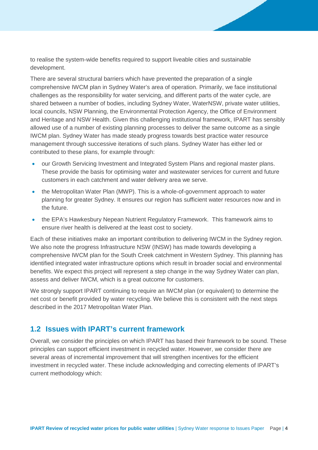to realise the system-wide benefits required to support liveable cities and sustainable development.

There are several structural barriers which have prevented the preparation of a single comprehensive IWCM plan in Sydney Water's area of operation. Primarily, we face institutional challenges as the responsibility for water servicing, and different parts of the water cycle, are shared between a number of bodies, including Sydney Water, WaterNSW, private water utilities, local councils, NSW Planning, the Environmental Protection Agency, the Office of Environment and Heritage and NSW Health. Given this challenging institutional framework, IPART has sensibly allowed use of a number of existing planning processes to deliver the same outcome as a single IWCM plan. Sydney Water has made steady progress towards best practice water resource management through successive iterations of such plans. Sydney Water has either led or contributed to these plans, for example through:

- our Growth Servicing Investment and Integrated System Plans and regional master plans. These provide the basis for optimising water and wastewater services for current and future customers in each catchment and water delivery area we serve.
- the Metropolitan Water Plan (MWP). This is a whole-of-government approach to water planning for greater Sydney. It ensures our region has sufficient water resources now and in the future.
- the EPA's Hawkesbury Nepean Nutrient Regulatory Framework. This framework aims to ensure river health is delivered at the least cost to society.

Each of these initiatives make an important contribution to delivering IWCM in the Sydney region. We also note the progress Infrastructure NSW (INSW) has made towards developing a comprehensive IWCM plan for the South Creek catchment in Western Sydney. This planning has identified integrated water infrastructure options which result in broader social and environmental benefits. We expect this project will represent a step change in the way Sydney Water can plan, assess and deliver IWCM, which is a great outcome for customers.

We strongly support IPART continuing to require an IWCM plan (or equivalent) to determine the net cost or benefit provided by water recycling. We believe this is consistent with the next steps described in the 2017 Metropolitan Water Plan.

## **1.2 Issues with IPART's current framework**

Overall, we consider the principles on which IPART has based their framework to be sound. These principles can support efficient investment in recycled water. However, we consider there are several areas of incremental improvement that will strengthen incentives for the efficient investment in recycled water. These include acknowledging and correcting elements of IPART's current methodology which: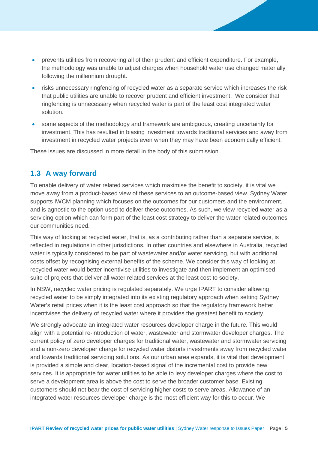- prevents utilities from recovering all of their prudent and efficient expenditure. For example, the methodology was unable to adjust charges when household water use changed materially following the millennium drought.
- risks unnecessary ringfencing of recycled water as a separate service which increases the risk that public utilities are unable to recover prudent and efficient investment. We consider that ringfencing is unnecessary when recycled water is part of the least cost integrated water solution.
- some aspects of the methodology and framework are ambiguous, creating uncertainty for investment. This has resulted in biasing investment towards traditional services and away from investment in recycled water projects even when they may have been economically efficient.

These issues are discussed in more detail in the body of this submission.

## **1.3 A way forward**

To enable delivery of water related services which maximise the benefit to society, it is vital we move away from a product-based view of these services to an outcome-based view. Sydney Water supports IWCM planning which focuses on the outcomes for our customers and the environment, and is agnostic to the option used to deliver these outcomes. As such, we view recycled water as a servicing option which can form part of the least cost strategy to deliver the water related outcomes our communities need.

This way of looking at recycled water, that is, as a contributing rather than a separate service, is reflected in regulations in other jurisdictions. In other countries and elsewhere in Australia, recycled water is typically considered to be part of wastewater and/or water servicing, but with additional costs offset by recognising external benefits of the scheme. We consider this way of looking at recycled water would better incentivise utilities to investigate and then implement an optimised suite of projects that deliver all water related services at the least cost to society.

In NSW, recycled water pricing is regulated separately. We urge IPART to consider allowing recycled water to be simply integrated into its existing regulatory approach when setting Sydney Water's retail prices when it is the least cost approach so that the regulatory framework better incentivises the delivery of recycled water where it provides the greatest benefit to society.

We strongly advocate an integrated water resources developer charge in the future. This would align with a potential re-introduction of water, wastewater and stormwater developer charges. The current policy of zero developer charges for traditional water, wastewater and stormwater servicing and a non-zero developer charge for recycled water distorts investments away from recycled water and towards traditional servicing solutions. As our urban area expands, it is vital that development is provided a simple and clear, location-based signal of the incremental cost to provide new services. It is appropriate for water utilities to be able to levy developer charges where the cost to serve a development area is above the cost to serve the broader customer base. Existing customers should not bear the cost of servicing higher costs to serve areas. Allowance of an integrated water resources developer charge is the most efficient way for this to occur. We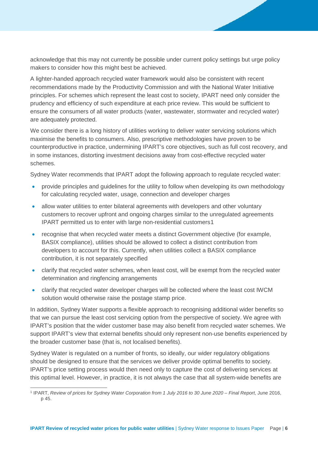acknowledge that this may not currently be possible under current policy settings but urge policy makers to consider how this might best be achieved.

A lighter-handed approach recycled water framework would also be consistent with recent recommendations made by the Productivity Commission and with the National Water Initiative principles. For schemes which represent the least cost to society, IPART need only consider the prudency and efficiency of such expenditure at each price review. This would be sufficient to ensure the consumers of all water products (water, wastewater, stormwater and recycled water) are adequately protected.

We consider there is a long history of utilities working to deliver water servicing solutions which maximise the benefits to consumers. Also, prescriptive methodologies have proven to be counterproductive in practice, undermining IPART's core objectives, such as full cost recovery, and in some instances, distorting investment decisions away from cost-effective recycled water schemes.

Sydney Water recommends that IPART adopt the following approach to regulate recycled water:

- provide principles and guidelines for the utility to follow when developing its own methodology for calculating recycled water, usage, connection and developer charges
- allow water utilities to enter bilateral agreements with developers and other voluntary customers to recover upfront and ongoing charges similar to the unregulated agreements IPART permitted us to enter with large non-residential customers[1](#page-6-0)
- recognise that when recycled water meets a distinct Government objective (for example, BASIX compliance), utilities should be allowed to collect a distinct contribution from developers to account for this. Currently, when utilities collect a BASIX compliance contribution, it is not separately specified
- clarify that recycled water schemes, when least cost, will be exempt from the recycled water determination and ringfencing arrangements
- clarify that recycled water developer charges will be collected where the least cost IWCM solution would otherwise raise the postage stamp price.

In addition, Sydney Water supports a flexible approach to recognising additional wider benefits so that we can pursue the least cost servicing option from the perspective of society. We agree with IPART's position that the wider customer base may also benefit from recycled water schemes. We support IPART's view that external benefits should only represent non-use benefits experienced by the broader customer base (that is, not localised benefits).

Sydney Water is regulated on a number of fronts, so ideally, our wider regulatory obligations should be designed to ensure that the services we deliver provide optimal benefits to society. IPART's price setting process would then need only to capture the cost of delivering services at this optimal level. However, in practice, it is not always the case that all system-wide benefits are

<span id="page-6-0"></span> <sup>1</sup> IPART, *Review of prices for Sydney Water Corporation from 1 July 2016 to 30 June 2020 – Final Report*, June 2016, p 45.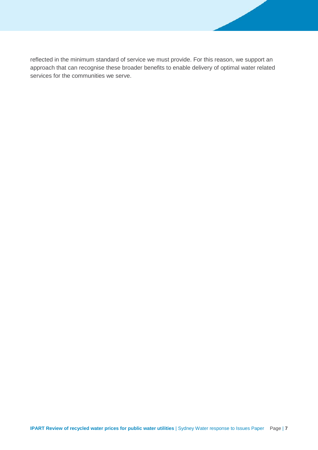reflected in the minimum standard of service we must provide. For this reason, we support an approach that can recognise these broader benefits to enable delivery of optimal water related services for the communities we serve.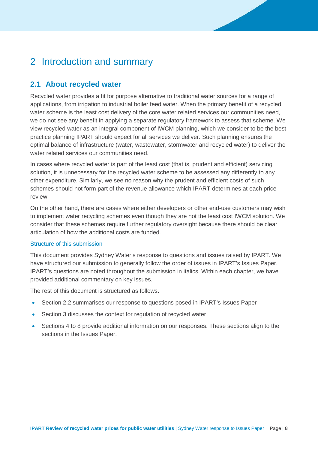## 2 Introduction and summary

## **2.1 About recycled water**

Recycled water provides a fit for purpose alternative to traditional water sources for a range of applications, from irrigation to industrial boiler feed water. When the primary benefit of a recycled water scheme is the least cost delivery of the core water related services our communities need, we do not see any benefit in applying a separate regulatory framework to assess that scheme. We view recycled water as an integral component of IWCM planning, which we consider to be the best practice planning IPART should expect for all services we deliver. Such planning ensures the optimal balance of infrastructure (water, wastewater, stormwater and recycled water) to deliver the water related services our communities need.

In cases where recycled water is part of the least cost (that is, prudent and efficient) servicing solution, it is unnecessary for the recycled water scheme to be assessed any differently to any other expenditure. Similarly, we see no reason why the prudent and efficient costs of such schemes should not form part of the revenue allowance which IPART determines at each price review.

On the other hand, there are cases where either developers or other end-use customers may wish to implement water recycling schemes even though they are not the least cost IWCM solution. We consider that these schemes require further regulatory oversight because there should be clear articulation of how the additional costs are funded.

#### Structure of this submission

This document provides Sydney Water's response to questions and issues raised by IPART. We have structured our submission to generally follow the order of issues in IPART's Issues Paper. IPART's questions are noted throughout the submission in italics. Within each chapter, we have provided additional commentary on key issues.

The rest of this document is structured as follows.

- Section [2.2](#page-9-0) summarises our response to questions posed in IPART's Issues Paper
- Section 3 discusses the context for regulation of recycled water
- Sections [4](#page-17-0) to [8](#page-36-0) provide additional information on our responses. These sections align to the sections in the Issues Paper.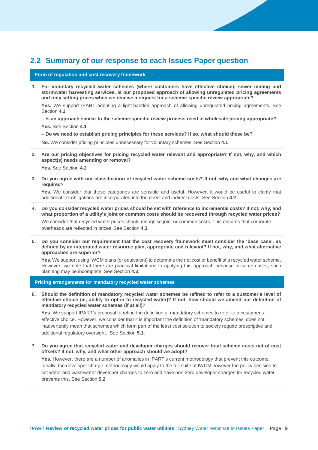### <span id="page-9-0"></span>**2.2 Summary of our response to each Issues Paper question**

#### **Form of regulation and cost recovery framework**

**1. For voluntary recycled water schemes (where customers have effective choice), sewer mining and stormwater harvesting services, is our proposed approach of allowing unregulated pricing agreements and only setting prices when we receive a request for a scheme-specific review appropriate?** 

**Yes.** We support IPART adopting a light-handed approach of allowing unregulated pricing agreements. See Section **[4.1](#page-17-1)**

#### **– Is an approach similar to the scheme-specific review process used in wholesale pricing appropriate? Yes.** See Section **[4.1](#page-17-1)**

**– Do we need to establish pricing principles for these services? If so, what should these be?**

**No.** We consider pricing principles unnecessary for voluntary schemes. See Section **[4.1](#page-17-1)**

**2. Are our pricing objectives for pricing recycled water relevant and appropriate? If not, why, and which aspect(s) needs amending or removal?**

**Yes.** See Section **[4.2](#page-18-0)**

**3. Do you agree with our classification of recycled water scheme costs? If not, why and what changes are required?**

**Yes.** We consider that these categories are sensible and useful. However, it would be useful to clarify that additional tax obligations are incorporated into the direct and indirect costs. See Section **4.2**

**4. Do you consider recycled water prices should be set with reference to incremental costs? If not, why, and what proportion of a utility's joint or common costs should be recovered through recycled water prices?**

We consider that recycled water prices should recognise joint or common costs. This ensures that corporate overheads are reflected in prices. See Section **[4.3](#page-19-0)**.

**5. Do you consider our requirement that the cost recovery framework must consider the 'base case', as defined by an integrated water resource plan, appropriate and relevant? If not, why, and what alternative approaches are superior?**

**Yes.** We support using IWCM plans (or equivalent) to determine the net cost or benefit of a recycled water scheme. However, we note that there are practical limitations to applying this approach because in some cases, such planning may be incomplete. See Section **[4.3](#page-19-0)**.

**Pricing arrangements for mandatory recycled water schemes**

**6. Should the definition of mandatory recycled water schemes be refined to refer to a customer's level of effective choice (ie, ability to opt-in to recycled water)? If not, how should we amend our definition of mandatory recycled water schemes (if at all)?**

**Yes**. We support IPART's proposal to refine the definition of mandatory schemes to refer to a customer's effective choice. However, we consider that it is important the definition of 'mandatory schemes' does not inadvertently mean that schemes which form part of the least cost solution to society require prescriptive and additional regulatory oversight. See Section **[5.1](#page-22-0)**.

**7. Do you agree that recycled water and developer charges should recover total scheme costs net of cost offsets? If not, why, and what other approach should we adopt?**

**Yes.** However, there are a number of anomalies in IPART's current methodology that prevent this outcome. Ideally, the developer charge methodology would apply to the full suite of IWCM however the policy decision to set water and wastewater developer charges to zero and have non-zero developer charges for recycled water prevents this. See Section **[5.2](#page-23-0)**.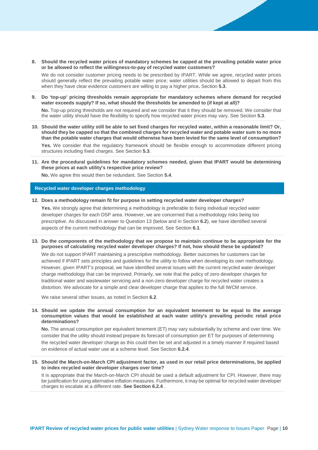**8. Should the recycled water prices of mandatory schemes be capped at the prevailing potable water price or be allowed to reflect the willingness-to-pay of recycled water customers?**

We do not consider customer pricing needs to be prescribed by IPART. While we agree, recycled water prices should generally reflect the prevailing potable water price; water utilities should be allowed to depart from this when they have clear evidence customers are willing to pay a higher price**.** Section **[5.3](#page-24-0)**.

**9. Do 'top-up' pricing thresholds remain appropriate for mandatory schemes where demand for recycled water exceeds supply? If so, what should the thresholds be amended to (if kept at all)?**

**No.** Top-up pricing thresholds are not required and we consider that it they should be removed. We consider that the water utility should have the flexibility to specify how recycled water prices may vary. See Section **[5.3](#page-24-0)**.

**10. Should the water utility still be able to set fixed charges for recycled water, within a reasonable limit? Or, should they be capped so that the combined charges for recycled water and potable water sum to no more than the potable water charges that would otherwise have been levied for the same level of consumption?**

**Yes.** We consider that the regulatory framework should be flexible enough to accommodate different pricing structures including fixed charges. See Section **[5.3](#page-24-0)**.

**11. Are the procedural guidelines for mandatory schemes needed, given that IPART would be determining these prices at each utility's respective price review?**

**No.** We agree this would then be redundant. See Section **[5.4](#page-26-0)**.

#### **Recycled water developer charges methodology**

**12. Does a methodology remain fit for purpose in setting recycled water developer charges?**

Yes. We strongly agree that determining a methodology is preferable to fixing individual recycled water developer charges for each DSP area. However, we are concerned that a methodology risks being too prescriptive. As discussed in answer to Question 13 (below and in Section **[6.2](#page-28-0)**), we have identified several aspects of the current methodology that can be improved. See Section **[6.1](#page-28-1)**.

**13. Do the components of the methodology that we propose to maintain continue to be appropriate for the purposes of calculating recycled water developer charges? If not, how should these be updated?**

We do not support IPART maintaining a prescriptive methodology. Better outcomes for customers can be achieved if IPART sets principles and guidelines for the utility to follow when developing its own methodology. However, given IPART's proposal, we have identified several issues with the current recycled water developer charge methodology that can be improved. Primarily, we note that the policy of zero developer charges for traditional water and wastewater servicing and a non-zero developer charge for recycled water creates a distortion. We advocate for a simple and clear developer charge that applies to the full IWCM service.

We raise several other issues, as noted in Section **[6.2](#page-28-0)**.

**14. Should we update the annual consumption for an equivalent tenement to be equal to the average consumption values that would be established at each water utility's prevailing periodic retail price determinations?**

**No.** The annual consumption per equivalent tenement (ET) may vary substantially by scheme and over time. We consider that the utility should instead prepare its forecast of consumption per ET for purposes of determining the recycled water developer charge as this could then be set and adjusted in a timely manner if required based on evidence of actual water use at a scheme level. See Section **[6.2.4](#page-32-0)**.

**15. Should the March-on-March CPI adjustment factor, as used in our retail price determinations, be applied to index recycled water developer charges over time?**

It is appropriate that the March-on-March CPI should be used a default adjustment for CPI. However, there may be justification for using alternative inflation measures. Furthermore, it may be optimal for recycled water developer charges to escalate at a different rate. **See Section [6.2.4](#page-32-0)** .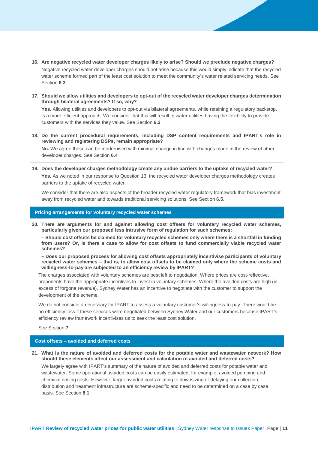- **16. Are negative recycled water developer charges likely to arise? Should we preclude negative charges?** Negative recycled water developer charges should not arise because this would simply indicate that the recycled water scheme formed part of the least cost solution to meet the community's water related servicing needs. See Section **[6.3](#page-33-0)**.
- **17. Should we allow utilities and developers to opt-out of the recycled water developer charges determination through bilateral agreements? If so, why?**

**Yes.** Allowing utilities and developers to opt-out via bilateral agreements, while retaining a regulatory backstop, is a more efficient approach. We consider that this will result in water utilities having the flexibility to provide customers with the services they value. See Section **[6.3](#page-33-0)**

**18. Do the current procedural requirements, including DSP content requirements and IPART's role in reviewing and registering DSPs, remain appropriate?**

**No.** We agree these can be modernised with minimal change in line with changes made in the review of other developer charges. See Section **[6.4](#page-33-1)**

**19. Does the developer charges methodology create any undue barriers to the uptake of recycled water?** Yes. As we noted in our response to Question 13, the recycled water developer charges methodology creates barriers to the uptake of recycled water.

We consider that there are also aspects of the broader recycled water regulatory framework that bias investment away from recycled water and towards traditional servicing solutions. See Section **[6.5](#page-34-0)**.

**Pricing arrangements for voluntary recycled water schemes**

**20. There are arguments for and against allowing cost offsets for voluntary recycled water schemes, particularly given our proposed less intrusive form of regulation for such schemes:** 

**– Should cost offsets be claimed for voluntary recycled schemes only where there is a shortfall in funding from users? Or, is there a case to allow for cost offsets to fund commercially viable recycled water schemes?** 

**– Does our proposed process for allowing cost offsets appropriately incentivise participants of voluntary recycled water schemes – that is, to allow cost offsets to be claimed only where the scheme costs and willingness-to-pay are subjected to an efficiency review by IPART?**

The charges associated with voluntary schemes are best left to negotiation. Where prices are cost-reflective, proponents have the appropriate incentives to invest in voluntary schemes. Where the avoided costs are high (in excess of forgone revenue), Sydney Water has an incentive to negotiate with the customer to support the development of the scheme.

We do not consider it necessary for IPART to assess a voluntary customer's willingness-to-pay. There would be no efficiency loss if these services were negotiated between Sydney Water and our customers because IPART's efficiency review framework incentivises us to seek the least cost solution.

See Section **[7](#page-35-0)**.

#### **Cost offsets – avoided and deferred costs**

**21. What is the nature of avoided and deferred costs for the potable water and wastewater network? How should these elements affect our assessment and calculation of avoided and deferred costs?**

We largely agree with IPART's summary of the nature of avoided and deferred costs for potable water and wastewater. Some operational avoided costs can be easily estimated, for example, avoided pumping and chemical dosing costs. However, larger avoided costs relating to downsizing or delaying our collection, distribution and treatment infrastructure are scheme-specific and need to be determined on a case by case basis. See Section **[8.1](#page-36-1)**.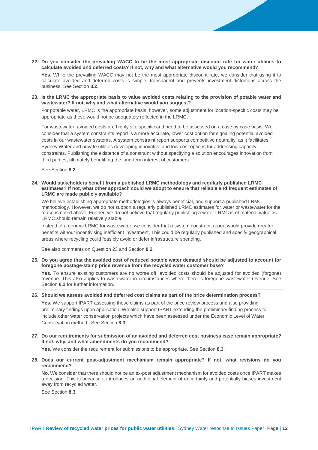**22. Do you consider the prevailing WACC to be the most appropriate discount rate for water utilities to calculate avoided and deferred costs? If not, why and what alternative would you recommend?**

**Yes.** While the prevailing WACC may not be the most appropriate discount rate, we consider that using it to calculate avoided and deferred costs is simple, transparent and prevents investment distortions across the business. See Section **[8.2](#page-36-2)**.

**23. Is the LRMC the appropriate basis to value avoided costs relating to the provision of potable water and wastewater? If not, why and what alternative would you suggest?**

For potable water, LRMC is the appropriate basis; however, some adjustment for location-specific costs may be appropriate as these would not be adequately reflected in the LRMC.

For wastewater, avoided costs are highly site specific and need to be assessed on a case by case basis. We consider that a system constraints report is a more accurate, lower cost option for signaling potential avoided costs in our wastewater systems. A system constraint report supports competitive neutrality, as it facilitates Sydney Water and private utilities developing innovative and low-cost options for addressing capacity constraints. Publishing the existence of a constraint without specifying a solution encourages innovation from third parties, ultimately benefitting the long-term interest of customers.

See Section **[8.2](#page-36-2)**.

**24. Would stakeholders benefit from a published LRMC methodology and regularly published LRMC estimates? If not, what other approach could we adopt to ensure that reliable and frequent estimates of LRMC are made publicly available?** 

We believe establishing appropriate methodologies is always beneficial, and support a published LRMC methodology. However, we do not support a regularly published LRMC estimates for water or wastewater for the reasons noted above. Further, we do not believe that regularly publishing a water LRMC is of material value as LRMC should remain relatively stable.

Instead of a generic LRMC for wastewater, we consider that a system constraint report would provide greater benefits without incentivising inefficient investment. This could be regularly published and specify geographical areas where recycling could feasibly avoid or defer infrastructure spending.

See also comments on Question 23 and Section **[8.2](#page-36-2)**.

**25. Do you agree that the avoided cost of reduced potable water demand should be adjusted to account for foregone postage-stamp price revenue from the recycled water customer base?**

Yes. To ensure existing customers are no worse off, avoided costs should be adjusted for avoided (forgone) revenue. This also applies to wastewater in circumstances where there is foregone wastewater revenue. See Section **[8.2](#page-36-2)** for further information.

**26. Should we assess avoided and deferred cost claims as part of the price determination process?**

**Yes.** We support IPART assessing these claims as part of the price review process and also providing preliminary findings upon application. We also support IPART extending the preliminary finding process to include other water conservation projects which have been assessed under the Economic Level of Water Conservation method. See Section **[8.3](#page-40-0)**.

**27. Do our requirements for submission of an avoided and deferred cost business case remain appropriate? If not, why, and what amendments do you recommend?**

**Yes**. We consider the requirement for submissions to be appropriate. See Section **[8.3](#page-40-0)**.

**28. Does our current post-adjustment mechanism remain appropriate? If not, what revisions do you recommend?**

**No**. We consider that there should not be an ex-post adjustment mechanism for avoided costs once IPART makes a decision. This is because it introduces an additional element of uncertainty and potentially biases investment away from recycled water.

See Section **[8.3](#page-40-0)**.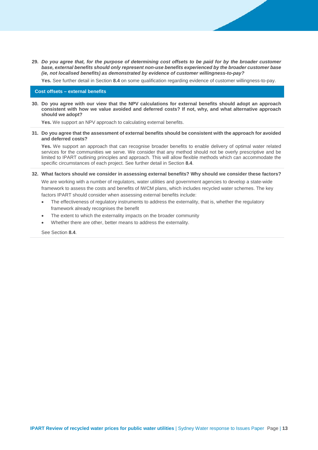**29.** *Do you agree that, for the purpose of determining cost offsets to be paid for by the broader customer base, external benefits should only represent non-use benefits experienced by the broader customer base (ie, not localised benefits) as demonstrated by evidence of customer willingness-to-pay?*

**Yes.** See further detail in Section **[8.4](#page-41-0)** on some qualification regarding evidence of customer willingness-to-pay.

#### **Cost offsets – external benefits**

**30. Do you agree with our view that the NPV calculations for external benefits should adopt an approach consistent with how we value avoided and deferred costs? If not, why, and what alternative approach should we adopt?**

**Yes.** We support an NPV approach to calculating external benefits.

**31. Do you agree that the assessment of external benefits should be consistent with the approach for avoided and deferred costs?**

**Yes.** We support an approach that can recognise broader benefits to enable delivery of optimal water related services for the communities we serve. We consider that any method should not be overly prescriptive and be limited to IPART outlining principles and approach. This will allow flexible methods which can accommodate the specific circumstances of each project. See further detail in Section **[8.4](#page-41-0)**.

**32. What factors should we consider in assessing external benefits? Why should we consider these factors?**

We are working with a number of regulators, water utilities and government agencies to develop a state-wide framework to assess the costs and benefits of IWCM plans, which includes recycled water schemes. The key factors IPART should consider when assessing external benefits include:

- The effectiveness of regulatory instruments to address the externality, that is, whether the regulatory framework already recognises the benefit
- The extent to which the externality impacts on the broader community
- Whether there are other, better means to address the externality.

See Section **[8.4](#page-41-0)**.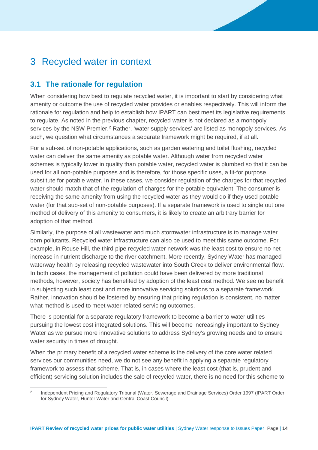## 3 Recycled water in context

## **3.1 The rationale for regulation**

When considering how best to regulate recycled water, it is important to start by considering what amenity or outcome the use of recycled water provides or enables respectively. This will inform the rationale for regulation and help to establish how IPART can best meet its legislative requirements to regulate. As noted in the previous chapter, recycled water is not declared as a monopoly services by the NSW Premier.<sup>[2](#page-14-0)</sup> Rather, 'water supply services' are listed as monopoly services. As such, we question what circumstances a separate framework might be required, if at all.

For a sub-set of non-potable applications, such as garden watering and toilet flushing, recycled water can deliver the same amenity as potable water. Although water from recycled water schemes is typically lower in quality than potable water, recycled water is plumbed so that it can be used for all non-potable purposes and is therefore, for those specific uses, a fit-for purpose substitute for potable water. In these cases, we consider regulation of the charges for that recycled water should match that of the regulation of charges for the potable equivalent. The consumer is receiving the same amenity from using the recycled water as they would do if they used potable water (for that sub-set of non-potable purposes). If a separate framework is used to single out one method of delivery of this amenity to consumers, it is likely to create an arbitrary barrier for adoption of that method.

Similarly, the purpose of all wastewater and much stormwater infrastructure is to manage water born pollutants. Recycled water infrastructure can also be used to meet this same outcome. For example, in Rouse Hill, the third-pipe recycled water network was the least cost to ensure no net increase in nutrient discharge to the river catchment. More recently, Sydney Water has managed waterway health by releasing recycled wastewater into South Creek to deliver environmental flow. In both cases, the management of pollution could have been delivered by more traditional methods, however, society has benefited by adoption of the least cost method. We see no benefit in subjecting such least cost and more innovative servicing solutions to a separate framework. Rather, innovation should be fostered by ensuring that pricing regulation is consistent, no matter what method is used to meet water-related servicing outcomes.

There is potential for a separate regulatory framework to become a barrier to water utilities pursuing the lowest cost integrated solutions. This will become increasingly important to Sydney Water as we pursue more innovative solutions to address Sydney's growing needs and to ensure water security in times of drought.

When the primary benefit of a recycled water scheme is the delivery of the core water related services our communities need, we do not see any benefit in applying a separate regulatory framework to assess that scheme. That is, in cases where the least cost (that is, prudent and efficient) servicing solution includes the sale of recycled water, there is no need for this scheme to

<span id="page-14-0"></span><sup>&</sup>lt;sup>2</sup> Independent Pricing and Regulatory Tribunal (Water, Sewerage and Drainage Services) Order 1997 (IPART Order for Sydney Water, Hunter Water and Central Coast Council).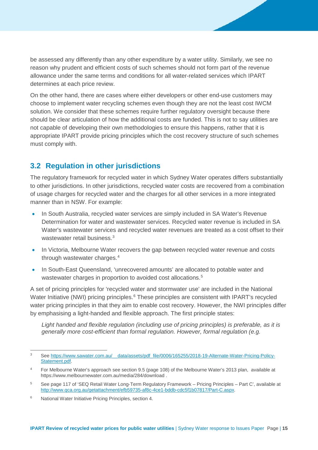be assessed any differently than any other expenditure by a water utility. Similarly, we see no reason why prudent and efficient costs of such schemes should not form part of the revenue allowance under the same terms and conditions for all water-related services which IPART determines at each price review.

On the other hand, there are cases where either developers or other end-use customers may choose to implement water recycling schemes even though they are not the least cost IWCM solution. We consider that these schemes require further regulatory oversight because there should be clear articulation of how the additional costs are funded. This is not to say utilities are not capable of developing their own methodologies to ensure this happens, rather that it is appropriate IPART provide pricing principles which the cost recovery structure of such schemes must comply with.

## **3.2 Regulation in other jurisdictions**

The regulatory framework for recycled water in which Sydney Water operates differs substantially to other jurisdictions. In other jurisdictions, recycled water costs are recovered from a combination of usage charges for recycled water and the charges for all other services in a more integrated manner than in NSW. For example:

- In South Australia, recycled water services are simply included in SA Water's Revenue Determination for water and wastewater services. Recycled water revenue is included in SA Water's wastewater services and recycled water revenues are treated as a cost offset to their wastewater retail business.<sup>3</sup>
- In Victoria, Melbourne Water recovers the gap between recycled water revenue and costs through wastewater charges.[4](#page-15-1)
- In South-East Queensland, 'unrecovered amounts' are allocated to potable water and wastewater charges in proportion to avoided cost allocations.<sup>[5](#page-15-2)</sup>

A set of pricing principles for 'recycled water and stormwater use' are included in the National Water Initiative (NWI) pricing principles.<sup>[6](#page-15-3)</sup> These principles are consistent with IPART's recycled water pricing principles in that they aim to enable cost recovery. However, the NWI principles differ by emphasising a light-handed and flexible approach. The first principle states:

*Light handed and flexible regulation (including use of pricing principles) is preferable, as it is generally more cost-efficient than formal regulation. However, formal regulation (e.g.* 

<span id="page-15-0"></span> <sup>3</sup> See [https://www.sawater.com.au/\\_\\_data/assets/pdf\\_file/0006/165255/2018-19-Alternate-Water-Pricing-Policy-](https://www.sawater.com.au/__data/assets/pdf_file/0006/165255/2018-19-Alternate-Water-Pricing-Policy-Statement.pdf)[Statement.pdf.](https://www.sawater.com.au/__data/assets/pdf_file/0006/165255/2018-19-Alternate-Water-Pricing-Policy-Statement.pdf)

<span id="page-15-1"></span><sup>4</sup> For Melbourne Water's approach see section 9.5 (page 108) of the Melbourne Water's 2013 plan, available at https://www.melbournewater.com.au/media/284/download .

<span id="page-15-2"></span><sup>5</sup> See page 117 of 'SEQ Retail Water Long-Term Regulatory Framework – Pricing Principles – Part C', available at [http://www.qca.org.au/getattachment/efb59735-af8c-4ce1-bddb-cdc5f1b07817/Part-C.aspx.](http://www.qca.org.au/getattachment/efb59735-af8c-4ce1-bddb-cdc5f1b07817/Part-C.aspx) 

<span id="page-15-3"></span><sup>6</sup> National Water Initiative Pricing Principles, section 4.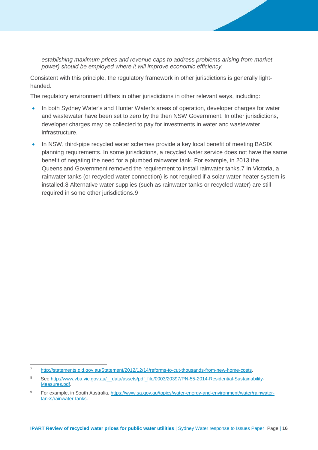*establishing maximum prices and revenue caps to address problems arising from market power) should be employed where it will improve economic efficiency.*

Consistent with this principle, the regulatory framework in other jurisdictions is generally lighthanded.

The regulatory environment differs in other jurisdictions in other relevant ways, including:

- In both Sydney Water's and Hunter Water's areas of operation, developer charges for water and wastewater have been set to zero by the then NSW Government. In other jurisdictions, developer charges may be collected to pay for investments in water and wastewater infrastructure.
- In NSW, third-pipe recycled water schemes provide a key local benefit of meeting BASIX planning requirements. In some jurisdictions, a recycled water service does not have the same benefit of negating the need for a plumbed rainwater tank. For example, in 2013 the Queensland Government removed the requirement to install rainwater tanks.[7](#page-16-0) In Victoria, a rainwater tanks (or recycled water connection) is not required if a solar water heater system is installed.[8](#page-16-1) Alternative water supplies (such as rainwater tanks or recycled water) are still required in some other jurisdictions.[9](#page-16-2)

<span id="page-16-0"></span> <sup>7</sup> [http://statements.qld.gov.au/Statement/2012/12/14/reforms-to-cut-thousands-from-new-home-costs.](http://statements.qld.gov.au/Statement/2012/12/14/reforms-to-cut-thousands-from-new-home-costs)

<span id="page-16-1"></span><sup>8</sup> See http://www.vba.vic.gov.au/ data/assets/pdf\_file/0003/20397/PN-55-2014-Residential-Sustainability-[Measures.pdf.](http://www.vba.vic.gov.au/__data/assets/pdf_file/0003/20397/PN-55-2014-Residential-Sustainability-Measures.pdf)

<span id="page-16-2"></span><sup>9</sup> For example, in South Australia, [https://www.sa.gov.au/topics/water-energy-and-environment/water/rainwater](https://www.sa.gov.au/topics/water-energy-and-environment/water/rainwater-tanks/rainwater-tanks)[tanks/rainwater-tanks.](https://www.sa.gov.au/topics/water-energy-and-environment/water/rainwater-tanks/rainwater-tanks)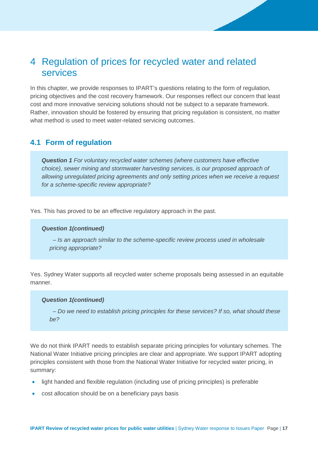## <span id="page-17-0"></span>4 Regulation of prices for recycled water and related services

In this chapter, we provide responses to IPART's questions relating to the form of regulation, pricing objectives and the cost recovery framework. Our responses reflect our concern that least cost and more innovative servicing solutions should not be subject to a separate framework. Rather, innovation should be fostered by ensuring that pricing regulation is consistent, no matter what method is used to meet water-related servicing outcomes.

## <span id="page-17-1"></span>**4.1 Form of regulation**

*Question 1 For voluntary recycled water schemes (where customers have effective choice), sewer mining and stormwater harvesting services, is our proposed approach of allowing unregulated pricing agreements and only setting prices when we receive a request for a scheme-specific review appropriate?* 

Yes. This has proved to be an effective regulatory approach in the past.

#### *Question 1(continued)*

 *– Is an approach similar to the scheme-specific review process used in wholesale pricing appropriate?* 

Yes. Sydney Water supports all recycled water scheme proposals being assessed in an equitable manner.

#### *Question 1(continued)*

 *– Do we need to establish pricing principles for these services? If so, what should these be?* 

We do not think IPART needs to establish separate pricing principles for voluntary schemes. The National Water Initiative pricing principles are clear and appropriate. We support IPART adopting principles consistent with those from the National Water Initiative for recycled water pricing, in summary:

- light handed and flexible regulation (including use of pricing principles) is preferable
- cost allocation should be on a beneficiary pays basis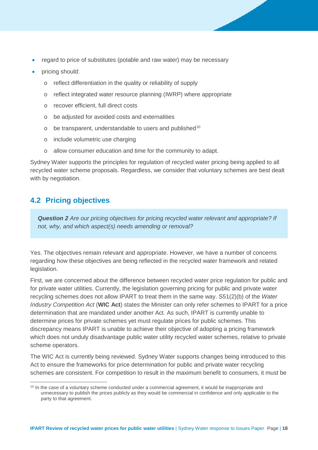- regard to price of substitutes (potable and raw water) may be necessary
- pricing should:
	- o reflect differentiation in the quality or reliability of supply
	- o reflect integrated water resource planning (IWRP) where appropriate
	- o recover efficient, full direct costs
	- o be adjusted for avoided costs and externalities
	- $\circ$  be transparent, understandable to users and published<sup>[10](#page-18-1)</sup>
	- o include volumetric use charging
	- o allow consumer education and time for the community to adapt.

Sydney Water supports the principles for regulation of recycled water pricing being applied to all recycled water scheme proposals. Regardless, we consider that voluntary schemes are best dealt with by negotiation.

## <span id="page-18-0"></span>**4.2 Pricing objectives**

*Question 2 Are our pricing objectives for pricing recycled water relevant and appropriate? If not, why, and which aspect(s) needs amending or removal?*

Yes. The objectives remain relevant and appropriate. However, we have a number of concerns regarding how these objectives are being reflected in the recycled water framework and related legislation.

First, we are concerned about the difference between recycled water price regulation for public and for private water utilities. Currently, the legislation governing pricing for public and private water recycling schemes does not allow IPART to treat them in the same way. S51(2)(b) of the *Water Industry Competition Act* (**WIC Act**) states the Minister can only refer schemes to IPART for a price determination that are mandated under another Act. As such, IPART is currently unable to determine prices for private schemes yet must regulate prices for public schemes. This discrepancy means IPART is unable to achieve their objective of adopting a pricing framework which does not unduly disadvantage public water utility recycled water schemes, relative to private scheme operators.

The WIC Act is currently being reviewed. Sydney Water supports changes being introduced to this Act to ensure the frameworks for price determination for public and private water recycling schemes are consistent. For competition to result in the maximum benefit to consumers, it must be

<span id="page-18-1"></span><sup>&</sup>lt;sup>10</sup> In the case of a voluntary scheme conducted under a commercial agreement, it would be inappropriate and unnecessary to publish the prices publicly as they would be commercial in confidence and only applicable to the party to that agreement.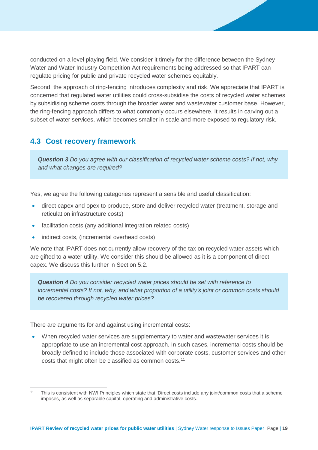conducted on a level playing field. We consider it timely for the difference between the Sydney Water and Water Industry Competition Act requirements being addressed so that IPART can regulate pricing for public and private recycled water schemes equitably.

Second, the approach of ring-fencing introduces complexity and risk. We appreciate that IPART is concerned that regulated water utilities could cross-subsidise the costs of recycled water schemes by subsidising scheme costs through the broader water and wastewater customer base. However, the ring-fencing approach differs to what commonly occurs elsewhere. It results in carving out a subset of water services, which becomes smaller in scale and more exposed to regulatory risk.

## <span id="page-19-0"></span>**4.3 Cost recovery framework**

*Question 3 Do you agree with our classification of recycled water scheme costs? If not, why and what changes are required?* 

Yes, we agree the following categories represent a sensible and useful classification:

- direct capex and opex to produce, store and deliver recycled water (treatment, storage and reticulation infrastructure costs)
- facilitation costs (any additional integration related costs)
- indirect costs, (incremental overhead costs)

We note that IPART does not currently allow recovery of the tax on recycled water assets which are gifted to a water utility. We consider this should be allowed as it is a component of direct capex. We discuss this further in Section [5.2.](#page-23-0)

*Question 4 Do you consider recycled water prices should be set with reference to incremental costs? If not, why, and what proportion of a utility's joint or common costs should be recovered through recycled water prices?* 

There are arguments for and against using incremental costs:

• When recycled water services are supplementary to water and wastewater services it is appropriate to use an incremental cost approach. In such cases, incremental costs should be broadly defined to include those associated with corporate costs, customer services and other costs that might often be classified as common costs.<sup>11</sup>

<span id="page-19-1"></span> <sup>11</sup> This is consistent with NWI Principles which state that 'Direct costs include any joint/common costs that a scheme imposes, as well as separable capital, operating and administrative costs.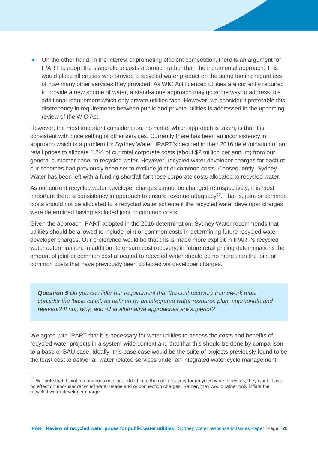• On the other hand, in the interest of promoting efficient competition, there is an argument for IPART to adopt the stand-alone costs approach rather than the incremental approach. This would place all entities who provide a recycled water product on the same footing regardless of how many other services they provided. As WIC Act licenced utilities are currently required to provide a new source of water, a stand-alone approach may go some way to address this additional requirement which only private utilities face. However, we consider it preferable this discrepancy in requirements between public and private utilities is addressed in the upcoming review of the WIC Act.

However, the most important consideration, no matter which approach is taken, is that it is consistent with price setting of other services. Currently there has been an inconsistency in approach which is a problem for Sydney Water. IPART's decided in their 2016 determination of our retail prices to allocate 1.2% of our total corporate costs (about \$2 million per annum) from our general customer base, to recycled water. However, recycled water developer charges for each of our schemes had previously been set to exclude joint or common costs. Consequently, Sydney Water has been left with a funding shortfall for those corporate costs allocated to recycled water.

As our current recycled water developer charges cannot be changed retrospectively, it is most important there is consistency in approach to ensure revenue adequacy<sup>[12](#page-20-0)</sup>. That is, joint or common costs should not be allocated to a recycled water scheme if the recycled water developer charges were determined having excluded joint or common costs.

Given the approach IPART adopted in the 2016 determination, Sydney Water recommends that utilities should be allowed to include joint or common costs in determining future recycled water developer charges. Our preference would be that this is made more explicit in IPART's recycled water determination. In addition, to ensure cost recovery, in future retail pricing determinations the amount of joint or common cost allocated to recycled water should be no more than the joint or common costs that have previously been collected via developer charges.

*Question 5 Do you consider our requirement that the cost recovery framework must consider the 'base case', as defined by an integrated water resource plan, appropriate and relevant? If not, why, and what alternative approaches are superior?*

We agree with IPART that it is necessary for water utilities to assess the costs and benefits of recycled water projects in a system-wide context and that that this should be done by comparison to a base or BAU case. Ideally, this base case would be the suite of projects previously found to be the least cost to deliver all water related services under an integrated water cycle management

<span id="page-20-0"></span><sup>&</sup>lt;sup>12</sup> We note that if joint or common costs are added in to the cost recovery for recycled water services, they would have no effect on end-user recycled water usage and or connection charges. Rather, they would rather only inflate the recycled water developer charge.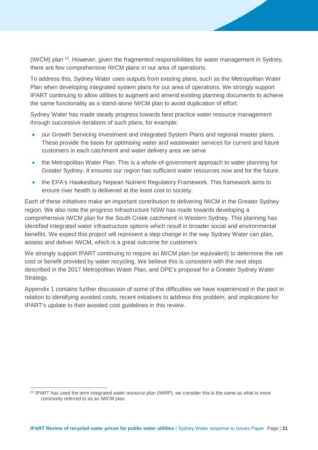(IWCM) plan [13.](#page-21-0) However, given the fragmented responsibilities for water management in Sydney, there are few comprehensive IWCM plans in our area of operations.

To address this, Sydney Water uses outputs from existing plans, such as the Metropolitan Water Plan when developing integrated system plans for our area of operations. We strongly support IPART continuing to allow utilities to augment and amend existing planning documents to achieve the same functionality as a stand-alone IWCM plan to avoid duplication of effort.

Sydney Water has made steady progress towards best practice water resource management through successive iterations of such plans, for example:

- our Growth Servicing Investment and Integrated System Plans and regional master plans. These provide the basis for optimising water and wastewater services for current and future customers in each catchment and water delivery area we serve
- the Metropolitan Water Plan. This is a whole-of-government approach to water planning for Greater Sydney. It ensures our region has sufficient water resources now and for the future.
- the EPA's Hawkesbury Nepean Nutrient Regulatory Framework. This framework aims to ensure river health is delivered at the least cost to society.

Each of these initiatives make an important contribution to delivering IWCM in the Greater Sydney region. We also note the progress Infrastructure NSW has made towards developing a comprehensive IWCM plan for the South Creek catchment in Western Sydney. This planning has identified integrated water infrastructure options which result in broader social and environmental benefits. We expect this project will represent a step change in the way Sydney Water can plan, assess and deliver IWCM, which is a great outcome for customers.

We strongly support IPART continuing to require an IWCM plan (or equivalent) to determine the net cost or benefit provided by water recycling. We believe this is consistent with the next steps described in the 2017 Metropolitan Water Plan, and DPE's proposal for a Greater Sydney Water Strategy.

Appendix 1 contains further discussion of some of the difficulties we have experienced in the past in relation to identifying avoided costs, recent initiatives to address this problem, and implications for IPART's update to their avoided cost guidelines in this review.

<span id="page-21-0"></span><sup>&</sup>lt;sup>13</sup> IPART has used the term integrated water resource plan (IWRP), we consider this is the same as what is more commonly referred to as an IWCM plan.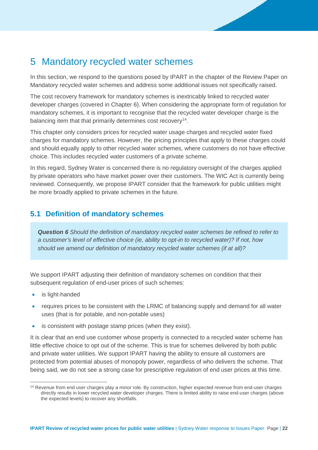## 5 Mandatory recycled water schemes

In this section, we respond to the questions posed by IPART in the chapter of the Review Paper on Mandatory recycled water schemes and address some additional issues not specifically raised.

The cost recovery framework for mandatory schemes is inextricably linked to recycled water developer charges (covered in Chapter 6). When considering the appropriate form of regulation for mandatory schemes, it is important to recognise that the recycled water developer charge is the balancing item that that primarily determines cost recovery<sup>14</sup>.

This chapter only considers prices for recycled water usage charges and recycled water fixed charges for mandatory schemes. However, the pricing principles that apply to these charges could and should equally apply to other recycled water schemes, where customers do not have effective choice. This includes recycled water customers of a private scheme.

In this regard, Sydney Water is concerned there is no regulatory oversight of the charges applied by private operators who have market power over their customers. The WIC Act is currently being reviewed. Consequently, we propose IPART consider that the framework for public utilities might be more broadly applied to private schemes in the future.

## <span id="page-22-0"></span>**5.1 Definition of mandatory schemes**

*Question 6 Should the definition of mandatory recycled water schemes be refined to refer to a customer's level of effective choice (ie, ability to opt-in to recycled water)? If not, how should we amend our definition of mandatory recycled water schemes (if at all)?*

We support IPART adjusting their definition of mandatory schemes on condition that their subsequent regulation of end-user prices of such schemes:

- is light-handed
- requires prices to be consistent with the LRMC of balancing supply and demand for all water uses (that is for potable, and non-potable uses)
- is consistent with postage stamp prices (when they exist).

It is clear that an end use customer whose property is connected to a recycled water scheme has little effective choice to opt out of the scheme. This is true for schemes delivered by both public and private water utilities. We support IPART having the ability to ensure all customers are protected from potential abuses of monopoly power, regardless of who delivers the scheme. That being said, we do not see a strong case for prescriptive regulation of end user prices at this time.

<span id="page-22-1"></span><sup>&</sup>lt;sup>14</sup> Revenue from end user charges play a minor role. By construction, higher expected revenue from end-user charges directly results in lower recycled water developer charges. There is limited ability to raise end-user charges (above the expected levels) to recover any shortfalls.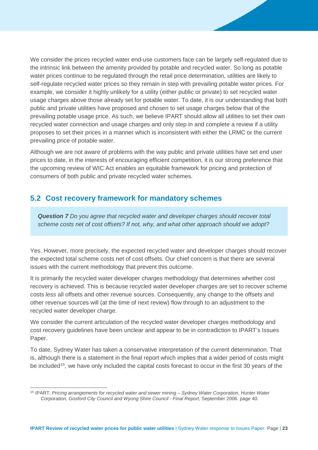We consider the prices recycled water end-use customers face can be largely self-regulated due to the intrinsic link between the amenity provided by potable and recycled water. So long as potable water prices continue to be regulated through the retail price determination, utilities are likely to self-regulate recycled water prices so they remain in step with prevailing potable water prices. For example, we consider it highly unlikely for a utility (either public or private) to set recycled water usage charges above those already set for potable water. To date, it is our understanding that both public and private utilities have proposed and chosen to set usage charges below that of the prevailing potable usage price. As such, we believe IPART should allow all utilities to set their own recycled water connection and usage charges and only step in and complete a review if a utility proposes to set their prices in a manner which is inconsistent with either the LRMC or the current prevailing price of potable water.

Although we are not aware of problems with the way public and private utilities have set end user prices to date, in the interests of encouraging efficient competition, it is our strong preference that the upcoming review of WIC Act enables an equitable framework for pricing and protection of consumers of both public and private recycled water schemes.

## <span id="page-23-0"></span>**5.2 Cost recovery framework for mandatory schemes**

*Question 7 Do you agree that recycled water and developer charges should recover total scheme costs net of cost offsets? If not, why, and what other approach should we adopt?* 

Yes. However, more precisely, the expected recycled water and developer charges should recover the expected total scheme costs net of cost offsets. Our chief concern is that there are several issues with the current methodology that prevent this outcome.

It is primarily the recycled water developer charges methodology that determines whether cost recovery is achieved. This is because recycled water developer charges are set to recover scheme costs *less* all offsets and other revenue sources. Consequently, any change to the offsets and other revenue sources will (at the time of next review) flow through to an adjustment to the recycled water developer charge.

We consider the current articulation of the recycled water developer charges methodology and cost recovery guidelines have been unclear and appear to be in contradiction to IPART's Issues Paper.

To date, Sydney Water has taken a conservative interpretation of the current determination. That is, although there is a statement in the final report which implies that a wider period of costs might be included<sup>[15](#page-23-1)</sup>, we have only included the capital costs forecast to occur in the first 30 years of the

<span id="page-23-1"></span> <sup>15</sup> IPART, *Pricing arrangements for recycled water and sewer mining – Sydney Water Corporation, Hunter Water Corporation, Gosford City Council and Wyong Shire Council - Final Report,* September 2006. page 40.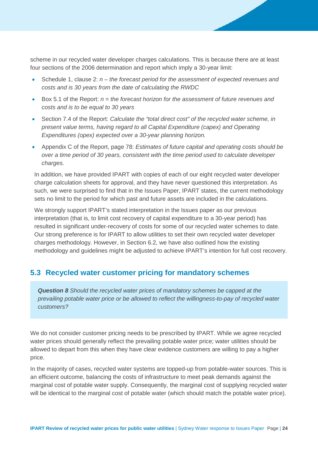scheme in our recycled water developer charges calculations. This is because there are at least four sections of the 2006 determination and report which imply a 30-year limit:

- Schedule 1, clause 2: *n – the forecast period for the assessment of expected revenues and costs and is 30 years from the date of calculating the RWDC*
- Box 5.1 of the Report: *n = the forecast horizon for the assessment of future revenues and costs and is to be equal to 30 years*
- Section 7.4 of the Report: *Calculate the "total direct cost" of the recycled water scheme, in present value terms, having regard to all Capital Expenditure (capex) and Operating Expenditures (opex) expected over a 30-year planning horizon.*
- Appendix C of the Report, page 78: *Estimates of future capital and operating costs should be over a time period of 30 years, consistent with the time period used to calculate developer charges.*

In addition, we have provided IPART with copies of each of our eight recycled water developer charge calculation sheets for approval, and they have never questioned this interpretation. As such, we were surprised to find that in the Issues Paper, IPART states, the current methodology sets no limit to the period for which past and future assets are included in the calculations.

We strongly support IPART's stated interpretation in the Issues paper as our previous interpretation (that is, to limit cost recovery of capital expenditure to a 30-year period) has resulted in significant under-recovery of costs for some of our recycled water schemes to date. Our strong preference is for IPART to allow utilities to set their own recycled water developer charges methodology. However, in Section [6.2,](#page-28-0) we have also outlined how the existing methodology and guidelines might be adjusted to achieve IPART's intention for full cost recovery.

## <span id="page-24-0"></span>**5.3 Recycled water customer pricing for mandatory schemes**

*Question 8 Should the recycled water prices of mandatory schemes be capped at the prevailing potable water price or be allowed to reflect the willingness-to-pay of recycled water customers?* 

We do not consider customer pricing needs to be prescribed by IPART. While we agree recycled water prices should generally reflect the prevailing potable water price; water utilities should be allowed to depart from this when they have clear evidence customers are willing to pay a higher price.

In the majority of cases, recycled water systems are topped-up from potable-water sources. This is an efficient outcome, balancing the costs of infrastructure to meet peak demands against the marginal cost of potable water supply. Consequently, the marginal cost of supplying recycled water will be identical to the marginal cost of potable water (which should match the potable water price).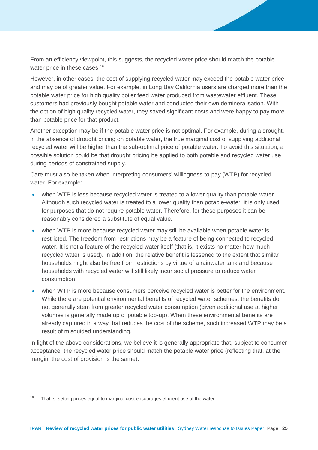From an efficiency viewpoint, this suggests, the recycled water price should match the potable water price in these cases. [16](#page-25-0)

However, in other cases, the cost of supplying recycled water may exceed the potable water price, and may be of greater value. For example, in Long Bay California users are charged more than the potable water price for high quality boiler feed water produced from wastewater effluent. These customers had previously bought potable water and conducted their own demineralisation. With the option of high quality recycled water, they saved significant costs and were happy to pay more than potable price for that product.

Another exception may be if the potable water price is not optimal. For example, during a drought, in the absence of drought pricing on potable water, the true marginal cost of supplying additional recycled water will be higher than the sub-optimal price of potable water. To avoid this situation, a possible solution could be that drought pricing be applied to both potable and recycled water use during periods of constrained supply.

Care must also be taken when interpreting consumers' willingness-to-pay (WTP) for recycled water. For example:

- when WTP is less because recycled water is treated to a lower quality than potable-water. Although such recycled water is treated to a lower quality than potable-water, it is only used for purposes that do not require potable water. Therefore, for these purposes it can be reasonably considered a substitute of equal value.
- when WTP is more because recycled water may still be available when potable water is restricted. The freedom from restrictions may be a feature of being connected to recycled water. It is not a feature of the recycled water itself (that is, it exists no matter how much recycled water is used). In addition, the relative benefit is lessened to the extent that similar households might also be free from restrictions by virtue of a rainwater tank and because households with recycled water will still likely incur social pressure to reduce water consumption.
- when WTP is more because consumers perceive recycled water is better for the environment. While there are potential environmental benefits of recycled water schemes, the benefits do not generally stem from greater recycled water consumption (given additional use at higher volumes is generally made up of potable top-up). When these environmental benefits are already captured in a way that reduces the cost of the scheme, such increased WTP may be a result of misguided understanding.

In light of the above considerations, we believe it is generally appropriate that, subject to consumer acceptance, the recycled water price should match the potable water price (reflecting that, at the margin, the cost of provision is the same).

<span id="page-25-0"></span><sup>&</sup>lt;sup>16</sup> That is, setting prices equal to marginal cost encourages efficient use of the water.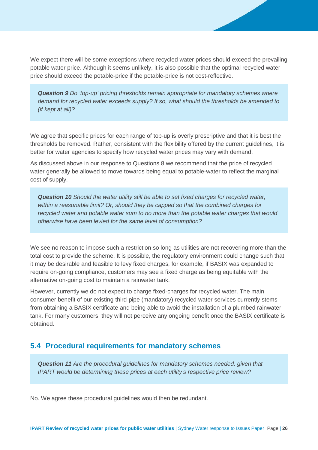We expect there will be some exceptions where recycled water prices should exceed the prevailing potable water price. Although it seems unlikely, it is also possible that the optimal recycled water price should exceed the potable-price if the potable-price is not cost-reflective.

*Question 9 Do 'top-up' pricing thresholds remain appropriate for mandatory schemes where demand for recycled water exceeds supply? If so, what should the thresholds be amended to (if kept at all)?* 

We agree that specific prices for each range of top-up is overly prescriptive and that it is best the thresholds be removed. Rather, consistent with the flexibility offered by the current guidelines, it is better for water agencies to specify how recycled water prices may vary with demand.

As discussed above in our response to Questions 8 we recommend that the price of recycled water generally be allowed to move towards being equal to potable-water to reflect the marginal cost of supply.

*Question 10 Should the water utility still be able to set fixed charges for recycled water, within a reasonable limit? Or, should they be capped so that the combined charges for recycled water and potable water sum to no more than the potable water charges that would otherwise have been levied for the same level of consumption?* 

We see no reason to impose such a restriction so long as utilities are not recovering more than the total cost to provide the scheme. It is possible, the regulatory environment could change such that it may be desirable and feasible to levy fixed charges, for example, if BASIX was expanded to require on-going compliance, customers may see a fixed charge as being equitable with the alternative on-going cost to maintain a rainwater tank.

However, currently we do not expect to charge fixed-charges for recycled water. The main consumer benefit of our existing third-pipe (mandatory) recycled water services currently stems from obtaining a BASIX certificate and being able to avoid the installation of a plumbed rainwater tank. For many customers, they will not perceive any ongoing benefit once the BASIX certificate is obtained.

## <span id="page-26-0"></span>**5.4 Procedural requirements for mandatory schemes**

*Question 11 Are the procedural guidelines for mandatory schemes needed, given that IPART would be determining these prices at each utility's respective price review?*

No. We agree these procedural guidelines would then be redundant.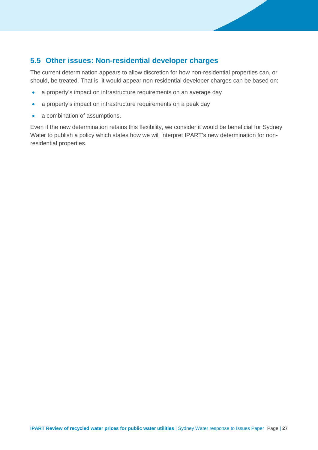## **5.5 Other issues: Non-residential developer charges**

The current determination appears to allow discretion for how non-residential properties can, or should, be treated. That is, it would appear non-residential developer charges can be based on:

- a property's impact on infrastructure requirements on an average day
- a property's impact on infrastructure requirements on a peak day
- a combination of assumptions.

Even if the new determination retains this flexibility, we consider it would be beneficial for Sydney Water to publish a policy which states how we will interpret IPART's new determination for nonresidential properties.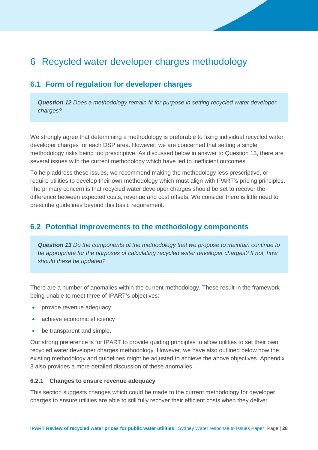## 6 Recycled water developer charges methodology

## <span id="page-28-1"></span>**6.1 Form of regulation for developer charges**

*Question 12 Does a methodology remain fit for purpose in setting recycled water developer charges?*

We strongly agree that determining a methodology is preferable to fixing individual recycled water developer charges for each DSP area. However, we are concerned that setting a single methodology risks being too prescriptive. As discussed below in answer to Question 13, there are several issues with the current methodology which have led to inefficient outcomes.

To help address these issues, we recommend making the methodology less prescriptive, or require utilities to develop their own methodology which must align with IPART's pricing principles. The primary concern is that recycled water developer charges should be set to recover the difference between expected costs, revenue and cost offsets. We consider there is little need to prescribe guidelines beyond this basic requirement.

## <span id="page-28-0"></span>**6.2 Potential improvements to the methodology components**

*Question 13 Do the components of the methodology that we propose to maintain continue to be appropriate for the purposes of calculating recycled water developer charges? If not, how should these be updated?* 

There are a number of anomalies within the current methodology. These result in the framework being unable to meet three of IPART's objectives:

- provide revenue adequacy
- achieve economic efficiency
- be transparent and simple.

Our strong preference is for IPART to provide guiding principles to allow utilities to set their own recycled water developer charges methodology. However, we have also outlined below how the existing methodology and guidelines might be adjusted to achieve the above objectives. Appendix 3 also provides a more detailed discussion of these anomalies.

#### **6.2.1 Changes to ensure revenue adequacy**

This section suggests changes which could be made to the current methodology for developer charges to ensure utilities are able to still fully recover their efficient costs when they deliver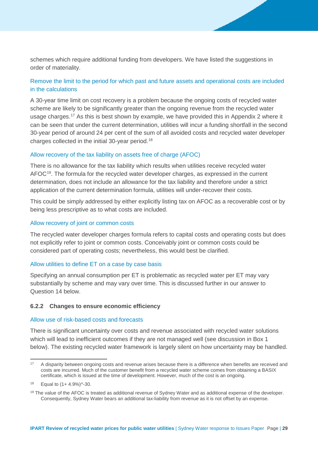schemes which require additional funding from developers. We have listed the suggestions in order of materiality.

### Remove the limit to the period for which past and future assets and operational costs are included in the calculations

A 30-year time limit on cost recovery is a problem because the ongoing costs of recycled water scheme are likely to be significantly greater than the ongoing revenue from the recycled water usage charges.<sup>[17](#page-29-0)</sup> As this is best shown by example, we have provided this in Appendix 2 where it can be seen that under the current determination, utilities will incur a funding shortfall in the second 30-year period of around 24 per cent of the sum of all avoided costs and recycled water developer charges collected in the initial 30-year period.[18](#page-29-1)

#### Allow recovery of the tax liability on assets free of charge (AFOC)

There is no allowance for the tax liability which results when utilities receive recycled water  $AFOC<sup>19</sup>$  $AFOC<sup>19</sup>$  $AFOC<sup>19</sup>$ . The formula for the recycled water developer charges, as expressed in the current determination, does not include an allowance for the tax liability and therefore under a strict application of the current determination formula, utilities will under-recover their costs.

This could be simply addressed by either explicitly listing tax on AFOC as a recoverable cost or by being less prescriptive as to what costs are included.

#### Allow recovery of joint or common costs

The recycled water developer charges formula refers to capital costs and operating costs but does not explicitly refer to joint or common costs. Conceivably joint or common costs could be considered part of operating costs; nevertheless, this would best be clarified.

#### Allow utilities to define ET on a case by case basis

Specifying an annual consumption per ET is problematic as recycled water per ET may vary substantially by scheme and may vary over time. This is discussed further in our answer to Question 14 below.

#### **6.2.2 Changes to ensure economic efficiency**

#### Allow use of risk-based costs and forecasts

There is significant uncertainty over costs and revenue associated with recycled water solutions which will lead to inefficient outcomes if they are not managed well (see discussion in Box 1 below). The existing recycled water framework is largely silent on how uncertainty may be handled.

<span id="page-29-0"></span><sup>&</sup>lt;sup>17</sup> A disparity between ongoing costs and revenue arises because there is a difference when benefits are received and costs are incurred. Much of the customer benefit from a recycled water scheme comes from obtaining a BASIX certificate, which is issued at the time of development. However, much of the cost is an ongoing.

<span id="page-29-1"></span> $18$  Equal to  $(1 + 4.9\%)$ <sup> $\sim$ </sup> $-30$ .

<span id="page-29-2"></span><sup>&</sup>lt;sup>19</sup> The value of the AFOC is treated as additional revenue of Sydney Water and as additional expense of the developer. Consequently, Sydney Water bears an additional tax-liability from revenue as it is not offset by an expense.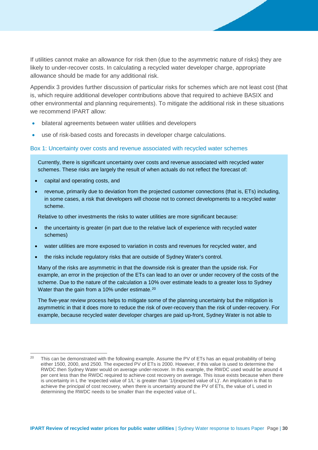If utilities cannot make an allowance for risk then (due to the asymmetric nature of risks) they are likely to under-recover costs. In calculating a recycled water developer charge, appropriate allowance should be made for any additional risk.

Appendix 3 provides further discussion of particular risks for schemes which are not least cost (that is, which require additional developer contributions above that required to achieve BASIX and other environmental and planning requirements). To mitigate the additional risk in these situations we recommend IPART allow:

- bilateral agreements between water utilities and developers
- use of risk-based costs and forecasts in developer charge calculations.

#### Box 1: Uncertainty over costs and revenue associated with recycled water schemes

Currently, there is significant uncertainty over costs and revenue associated with recycled water schemes. These risks are largely the result of when actuals do not reflect the forecast of:

- capital and operating costs, and
- revenue, primarily due to deviation from the projected customer connections (that is, ETs) including, in some cases, a risk that developers will choose not to connect developments to a recycled water scheme.

Relative to other investments the risks to water utilities are more significant because:

- the uncertainty is greater (in part due to the relative lack of experience with recycled water schemes)
- water utilities are more exposed to variation in costs and revenues for recycled water, and
- the risks include regulatory risks that are outside of Sydney Water's control.

Many of the risks are asymmetric in that the downside risk is greater than the upside risk. For example, an error in the projection of the ETs can lead to an over or under recovery of the costs of the scheme. Due to the nature of the calculation a 10% over estimate leads to a greater loss to Sydney Water than the gain from a 10% under estimate.<sup>[20](#page-30-0)</sup>

The five-year review process helps to mitigate some of the planning uncertainty but the mitigation is asymmetric in that it does more to reduce the risk of over-recovery than the risk of under-recovery. For example, because recycled water developer charges are paid up-front, Sydney Water is not able to

<span id="page-30-0"></span><sup>&</sup>lt;sup>20</sup> This can be demonstrated with the following example. Assume the PV of ETs has an equal probability of being either 1500, 2000, and 2500. The expected PV of ETs is 2000. However, if this value is used to determine the RWDC then Sydney Water would on average under-recover. In this example, the RWDC used would be around 4 per cent less than the RWDC required to achieve cost recovery on average. This issue exists because when there is uncertainty in L the 'expected value of 1/L' is greater than '1/(expected value of L)'. An implication is that to achieve the principal of cost recovery, when there is uncertainty around the PV of ETs, the value of L used in determining the RWDC needs to be smaller than the expected value of L.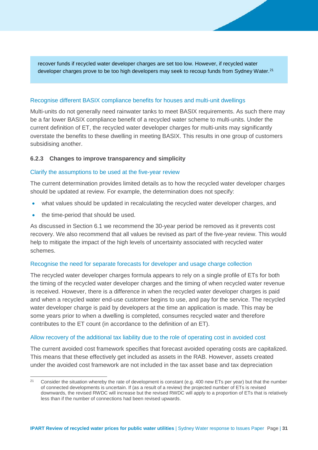recover funds if recycled water developer charges are set too low. However, if recycled water developer charges prove to be too high developers may seek to recoup funds from Sydney Water.<sup>[21](#page-31-0)</sup>

#### Recognise different BASIX compliance benefits for houses and multi-unit dwellings

Multi-units do not generally need rainwater tanks to meet BASIX requirements. As such there may be a far lower BASIX compliance benefit of a recycled water scheme to multi-units. Under the current definition of ET, the recycled water developer charges for multi-units may significantly overstate the benefits to these dwelling in meeting BASIX. This results in one group of customers subsidising another.

#### **6.2.3 Changes to improve transparency and simplicity**

#### Clarify the assumptions to be used at the five-year review

The current determination provides limited details as to how the recycled water developer charges should be updated at review. For example, the determination does not specify:

- what values should be updated in recalculating the recycled water developer charges, and
- the time-period that should be used.

As discussed in Section 6.1 we recommend the 30-year period be removed as it prevents cost recovery. We also recommend that all values be revised as part of the five-year review. This would help to mitigate the impact of the high levels of uncertainty associated with recycled water schemes.

#### Recognise the need for separate forecasts for developer and usage charge collection

The recycled water developer charges formula appears to rely on a single profile of ETs for both the timing of the recycled water developer charges and the timing of when recycled water revenue is received. However, there is a difference in when the recycled water developer charges is paid and when a recycled water end-use customer begins to use, and pay for the service. The recycled water developer charge is paid by developers at the time an application is made. This may be some years prior to when a dwelling is completed, consumes recycled water and therefore contributes to the ET count (in accordance to the definition of an ET).

#### Allow recovery of the additional tax liability due to the role of operating cost in avoided cost

The current avoided cost framework specifies that forecast avoided operating costs are capitalized. This means that these effectively get included as assets in the RAB. However, assets created under the avoided cost framework are not included in the tax asset base and tax depreciation

<span id="page-31-0"></span> <sup>21</sup> Consider the situation whereby the rate of development is constant (e.g. 400 new ETs per year) but that the number of connected developments is uncertain. If (as a result of a review) the projected number of ETs is revised downwards, the revised RWDC will increase but the revised RWDC will apply to a proportion of ETs that is relatively less than if the number of connections had been revised upwards.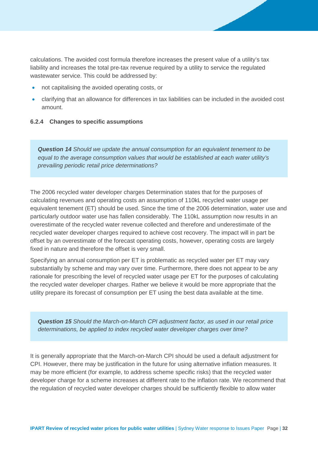calculations. The avoided cost formula therefore increases the present value of a utility's tax liability and increases the total pre-tax revenue required by a utility to service the regulated wastewater service. This could be addressed by:

- not capitalising the avoided operating costs, or
- clarifying that an allowance for differences in tax liabilities can be included in the avoided cost amount.

#### <span id="page-32-0"></span>**6.2.4 Changes to specific assumptions**

*Question 14 Should we update the annual consumption for an equivalent tenement to be equal to the average consumption values that would be established at each water utility's prevailing periodic retail price determinations?*

The 2006 recycled water developer charges Determination states that for the purposes of calculating revenues and operating costs an assumption of 110kL recycled water usage per equivalent tenement (ET) should be used. Since the time of the 2006 determination, water use and particularly outdoor water use has fallen considerably. The 110kL assumption now results in an overestimate of the recycled water revenue collected and therefore and underestimate of the recycled water developer charges required to achieve cost recovery. The impact will in part be offset by an overestimate of the forecast operating costs, however, operating costs are largely fixed in nature and therefore the offset is very small.

Specifying an annual consumption per ET is problematic as recycled water per ET may vary substantially by scheme and may vary over time. Furthermore, there does not appear to be any rationale for prescribing the level of recycled water usage per ET for the purposes of calculating the recycled water developer charges. Rather we believe it would be more appropriate that the utility prepare its forecast of consumption per ET using the best data available at the time.

*Question 15 Should the March-on-March CPI adjustment factor, as used in our retail price determinations, be applied to index recycled water developer charges over time?* 

It is generally appropriate that the March-on-March CPI should be used a default adjustment for CPI. However, there may be justification in the future for using alternative inflation measures. It may be more efficient (for example, to address scheme specific risks) that the recycled water developer charge for a scheme increases at different rate to the inflation rate. We recommend that the regulation of recycled water developer charges should be sufficiently flexible to allow water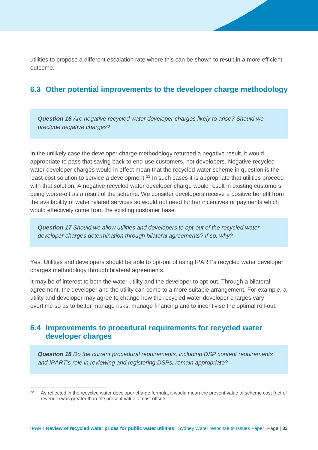utilities to propose a different escalation rate where this can be shown to result in a more efficient outcome.

## <span id="page-33-0"></span>**6.3 Other potential improvements to the developer charge methodology**

*Question 16 Are negative recycled water developer charges likely to arise? Should we preclude negative charges?* 

In the unlikely case the developer charge methodology returned a negative result, it would appropriate to pass that saving back to end-use customers, not developers. Negative recycled water developer charges would in effect mean that the recycled water scheme in question is the least-cost solution to service a development.<sup>[22](#page-33-2)</sup> In such cases it is appropriate that utilities proceed with that solution. A negative recycled water developer charge would result in existing customers being worse-off as a result of the scheme. We consider developers receive a positive benefit from the availability of water related services so would not need further incentives or payments which would effectively come from the existing customer base.

*Question 17 Should we allow utilities and developers to opt-out of the recycled water developer charges determination through bilateral agreements? If so, why?* 

Yes. Utilities and developers should be able to opt-out of using IPART's recycled water developer charges methodology through bilateral agreements.

It may be of interest to both the water-utility and the developer to opt-out. Through a bilateral agreement, the developer and the utility can come to a more suitable arrangement. For example, a utility and developer may agree to change how the recycled water developer charges vary overtime so as to better manage risks, manage financing and to incentivise the optimal roll-out.

## <span id="page-33-1"></span>**6.4 Improvements to procedural requirements for recycled water developer charges**

*Question 18 Do the current procedural requirements, including DSP content requirements and IPART's role in reviewing and registering DSPs, remain appropriate?* 

<span id="page-33-2"></span><sup>&</sup>lt;sup>22</sup> As reflected in the recycled water developer charge formula, it would mean the present value of scheme cost (net of revenue) was greater than the present value of cost offsets.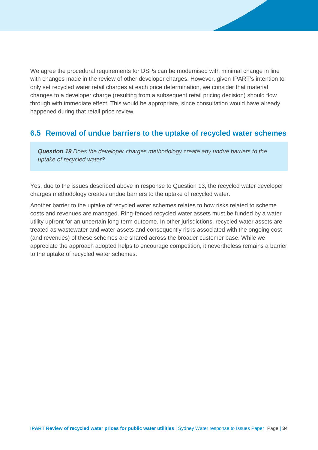We agree the procedural requirements for DSPs can be modernised with minimal change in line with changes made in the review of other developer charges. However, given IPART's intention to only set recycled water retail charges at each price determination, we consider that material changes to a developer charge (resulting from a subsequent retail pricing decision) should flow through with immediate effect. This would be appropriate, since consultation would have already happened during that retail price review.

## <span id="page-34-0"></span>**6.5 Removal of undue barriers to the uptake of recycled water schemes**

*Question 19 Does the developer charges methodology create any undue barriers to the uptake of recycled water?* 

Yes, due to the issues described above in response to Question 13, the recycled water developer charges methodology creates undue barriers to the uptake of recycled water.

Another barrier to the uptake of recycled water schemes relates to how risks related to scheme costs and revenues are managed. Ring-fenced recycled water assets must be funded by a water utility upfront for an uncertain long-term outcome. In other jurisdictions, recycled water assets are treated as wastewater and water assets and consequently risks associated with the ongoing cost (and revenues) of these schemes are shared across the broader customer base. While we appreciate the approach adopted helps to encourage competition, it nevertheless remains a barrier to the uptake of recycled water schemes.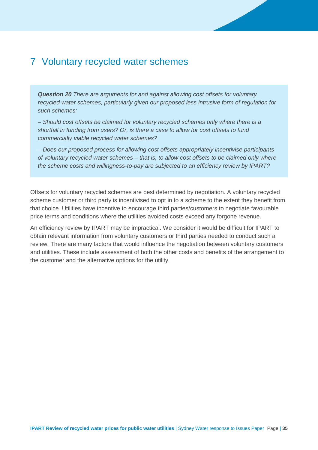## <span id="page-35-0"></span>7 Voluntary recycled water schemes

*Question 20 There are arguments for and against allowing cost offsets for voluntary recycled water schemes, particularly given our proposed less intrusive form of regulation for such schemes:* 

*– Should cost offsets be claimed for voluntary recycled schemes only where there is a shortfall in funding from users? Or, is there a case to allow for cost offsets to fund commercially viable recycled water schemes?* 

*– Does our proposed process for allowing cost offsets appropriately incentivise participants of voluntary recycled water schemes – that is, to allow cost offsets to be claimed only where the scheme costs and willingness-to-pay are subjected to an efficiency review by IPART?* 

Offsets for voluntary recycled schemes are best determined by negotiation. A voluntary recycled scheme customer or third party is incentivised to opt in to a scheme to the extent they benefit from that choice. Utilities have incentive to encourage third parties/customers to negotiate favourable price terms and conditions where the utilities avoided costs exceed any forgone revenue.

An efficiency review by IPART may be impractical. We consider it would be difficult for IPART to obtain relevant information from voluntary customers or third parties needed to conduct such a review. There are many factors that would influence the negotiation between voluntary customers and utilities. These include assessment of both the other costs and benefits of the arrangement to the customer and the alternative options for the utility.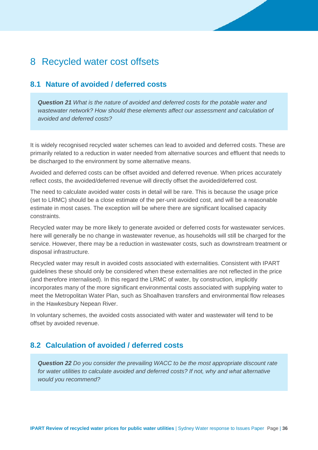## 8 Recycled water cost offsets

### **8.1 Nature of avoided / deferred costs**

*Question 21 What is the nature of avoided and deferred costs for the potable water and wastewater network? How should these elements affect our assessment and calculation of avoided and deferred costs?*

It is widely recognised recycled water schemes can lead to avoided and deferred costs. These are primarily related to a reduction in water needed from alternative sources and effluent that needs to be discharged to the environment by some alternative means.

Avoided and deferred costs can be offset avoided and deferred revenue. When prices accurately reflect costs, the avoided/deferred revenue will directly offset the avoided/deferred cost.

The need to calculate avoided water costs in detail will be rare. This is because the usage price (set to LRMC) should be a close estimate of the per-unit avoided cost, and will be a reasonable estimate in most cases. The exception will be where there are significant localised capacity constraints.

Recycled water may be more likely to generate avoided or deferred costs for wastewater services. here will generally be no change in wastewater revenue, as households will still be charged for the service. However, there may be a reduction in wastewater costs, such as downstream treatment or disposal infrastructure.

Recycled water may result in avoided costs associated with externalities. Consistent with IPART guidelines these should only be considered when these externalities are not reflected in the price (and therefore internalised). In this regard the LRMC of water, by construction, implicitly incorporates many of the more significant environmental costs associated with supplying water to meet the Metropolitan Water Plan, such as Shoalhaven transfers and environmental flow releases in the Hawkesbury Nepean River.

In voluntary schemes, the avoided costs associated with water and wastewater will tend to be offset by avoided revenue.

### **8.2 Calculation of avoided / deferred costs**

*Question 22 Do you consider the prevailing WACC to be the most appropriate discount rate for water utilities to calculate avoided and deferred costs? If not, why and what alternative would you recommend?*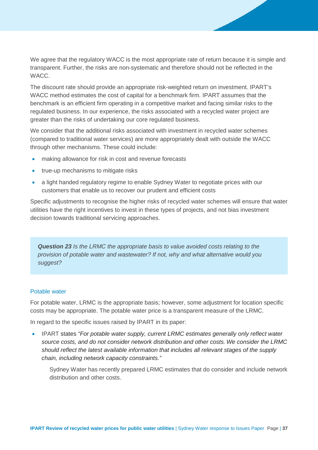We agree that the regulatory WACC is the most appropriate rate of return because it is simple and transparent. Further, the risks are non-systematic and therefore should not be reflected in the WACC.

The discount rate should provide an appropriate risk-weighted return on investment. IPART's WACC method estimates the cost of capital for a benchmark firm. IPART assumes that the benchmark is an efficient firm operating in a competitive market and facing similar risks to the regulated business. In our experience, the risks associated with a recycled water project are greater than the risks of undertaking our core regulated business.

We consider that the additional risks associated with investment in recycled water schemes (compared to traditional water services) are more appropriately dealt with outside the WACC through other mechanisms. These could include:

- making allowance for risk in cost and revenue forecasts
- true-up mechanisms to mitigate risks
- a light handed regulatory regime to enable Sydney Water to negotiate prices with our customers that enable us to recover our prudent and efficient costs

Specific adjustments to recognise the higher risks of recycled water schemes will ensure that water utilities have the right incentives to invest in these types of projects, and not bias investment decision towards traditional servicing approaches.

*Question 23 Is the LRMC the appropriate basis to value avoided costs relating to the provision of potable water and wastewater? If not, why and what alternative would you suggest?*

### Potable water

For potable water, LRMC is the appropriate basis; however, some adjustment for location specific costs may be appropriate. The potable water price is a transparent measure of the LRMC.

In regard to the specific issues raised by IPART in its paper:

• IPART states *"For potable water supply, current LRMC estimates generally only reflect water source costs, and do not consider network distribution and other costs. We consider the LRMC should reflect the latest available information that includes all relevant stages of the supply chain, including network capacity constraints."*

Sydney Water has recently prepared LRMC estimates that do consider and include network distribution and other costs.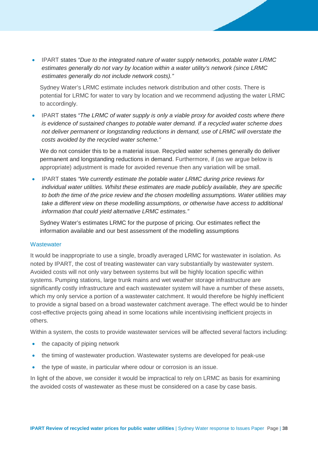• IPART states *"Due to the integrated nature of water supply networks, potable water LRMC estimates generally do not vary by location within a water utility's network (since LRMC estimates generally do not include network costs)."*

Sydney Water's LRMC estimate includes network distribution and other costs. There is potential for LRMC for water to vary by location and we recommend adjusting the water LRMC to accordingly.

• IPART states *"The LRMC of water supply is only a viable proxy for avoided costs where there is evidence of sustained changes to potable water demand. If a recycled water scheme does not deliver permanent or longstanding reductions in demand, use of LRMC will overstate the costs avoided by the recycled water scheme."*

We do not consider this to be a material issue. Recycled water schemes generally do deliver permanent and longstanding reductions in demand. Furthermore, if (as we argue below is appropriate) adjustment is made for avoided revenue then any variation will be small.

• IPART states *"We currently estimate the potable water LRMC during price reviews for individual water utilities. Whilst these estimates are made publicly available, they are specific to both the time of the price review and the chosen modelling assumptions. Water utilities may take a different view on these modelling assumptions, or otherwise have access to additional information that could yield alternative LRMC estimates."* 

Sydney Water's estimates LRMC for the purpose of pricing. Our estimates reflect the information available and our best assessment of the modelling assumptions

### **Wastewater**

It would be inappropriate to use a single, broadly averaged LRMC for wastewater in isolation. As noted by IPART, the cost of treating wastewater can vary substantially by wastewater system. Avoided costs will not only vary between systems but will be highly location specific within systems. Pumping stations, large trunk mains and wet weather storage infrastructure are significantly costly infrastructure and each wastewater system will have a number of these assets, which my only service a portion of a wastewater catchment. It would therefore be highly inefficient to provide a signal based on a broad wastewater catchment average. The effect would be to hinder cost-effective projects going ahead in some locations while incentivising inefficient projects in others.

Within a system, the costs to provide wastewater services will be affected several factors including:

- the capacity of piping network
- the timing of wastewater production. Wastewater systems are developed for peak-use
- the type of waste, in particular where odour or corrosion is an issue.

In light of the above, we consider it would be impractical to rely on LRMC as basis for examining the avoided costs of wastewater as these must be considered on a case by case basis.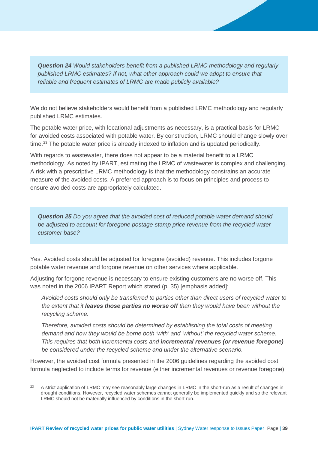*Question 24 Would stakeholders benefit from a published LRMC methodology and regularly published LRMC estimates? If not, what other approach could we adopt to ensure that reliable and frequent estimates of LRMC are made publicly available?* 

We do not believe stakeholders would benefit from a published LRMC methodology and regularly published LRMC estimates.

The potable water price, with locational adjustments as necessary, is a practical basis for LRMC for avoided costs associated with potable water. By construction, LRMC should change slowly over time.<sup>[23](#page-39-0)</sup> The potable water price is already indexed to inflation and is updated periodically.

With regards to wastewater, there does not appear to be a material benefit to a LRMC methodology. As noted by IPART, estimating the LRMC of wastewater is complex and challenging. A risk with a prescriptive LRMC methodology is that the methodology constrains an accurate measure of the avoided costs. A preferred approach is to focus on principles and process to ensure avoided costs are appropriately calculated.

*Question 25 Do you agree that the avoided cost of reduced potable water demand should be adjusted to account for foregone postage-stamp price revenue from the recycled water customer base?*

Yes. Avoided costs should be adjusted for foregone (avoided) revenue. This includes forgone potable water revenue and forgone revenue on other services where applicable.

Adjusting for forgone revenue is necessary to ensure existing customers are no worse off. This was noted in the 2006 IPART Report which stated (p. 35) [emphasis added]:

*Avoided costs should only be transferred to parties other than direct users of recycled water to the extent that it leaves those parties no worse off than they would have been without the recycling scheme.* 

*Therefore, avoided costs should be determined by establishing the total costs of meeting demand and how they would be borne both 'with' and 'without' the recycled water scheme. This requires that both incremental costs and incremental revenues (or revenue foregone) be considered under the recycled scheme and under the alternative scenario.*

However, the avoided cost formula presented in the 2006 guidelines regarding the avoided cost formula neglected to include terms for revenue (either incremental revenues or revenue foregone).

<span id="page-39-0"></span><sup>&</sup>lt;sup>23</sup> A strict application of LRMC may see reasonably large changes in LRMC in the short-run as a result of changes in drought conditions. However, recycled water schemes cannot generally be implemented quickly and so the relevant LRMC should not be materially influenced by conditions in the short-run.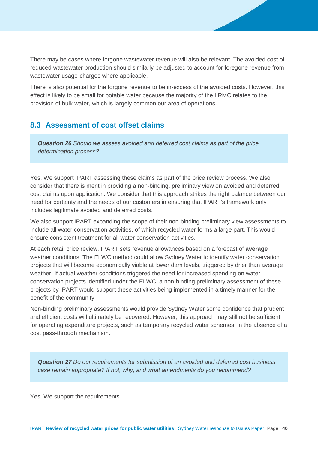There may be cases where forgone wastewater revenue will also be relevant. The avoided cost of reduced wastewater production should similarly be adjusted to account for foregone revenue from wastewater usage-charges where applicable.

There is also potential for the forgone revenue to be in-excess of the avoided costs. However, this effect is likely to be small for potable water because the majority of the LRMC relates to the provision of bulk water, which is largely common our area of operations.

### **8.3 Assessment of cost offset claims**

*Question 26 Should we assess avoided and deferred cost claims as part of the price determination process?*

Yes. We support IPART assessing these claims as part of the price review process. We also consider that there is merit in providing a non-binding, preliminary view on avoided and deferred cost claims upon application. We consider that this approach strikes the right balance between our need for certainty and the needs of our customers in ensuring that IPART's framework only includes legitimate avoided and deferred costs.

We also support IPART expanding the scope of their non-binding preliminary view assessments to include all water conservation activities, of which recycled water forms a large part. This would ensure consistent treatment for all water conservation activities.

At each retail price review, IPART sets revenue allowances based on a forecast of **average** weather conditions. The ELWC method could allow Sydney Water to identify water conservation projects that will become economically viable at lower dam levels, triggered by drier than average weather. If actual weather conditions triggered the need for increased spending on water conservation projects identified under the ELWC, a non-binding preliminary assessment of these projects by IPART would support these activities being implemented in a timely manner for the benefit of the community.

Non-binding preliminary assessments would provide Sydney Water some confidence that prudent and efficient costs will ultimately be recovered. However, this approach may still not be sufficient for operating expenditure projects, such as temporary recycled water schemes, in the absence of a cost pass-through mechanism.

*Question 27 Do our requirements for submission of an avoided and deferred cost business case remain appropriate? If not, why, and what amendments do you recommend?* 

Yes. We support the requirements.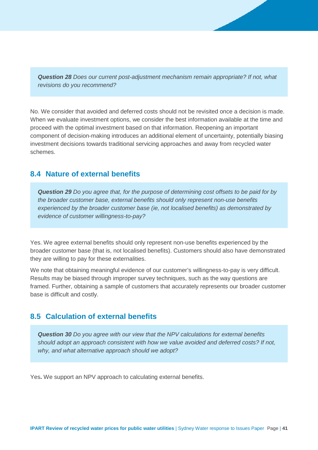*Question 28 Does our current post-adjustment mechanism remain appropriate? If not, what revisions do you recommend?* 

No. We consider that avoided and deferred costs should not be revisited once a decision is made. When we evaluate investment options, we consider the best information available at the time and proceed with the optimal investment based on that information. Reopening an important component of decision-making introduces an additional element of uncertainty, potentially biasing investment decisions towards traditional servicing approaches and away from recycled water schemes.

### **8.4 Nature of external benefits**

*Question 29 Do you agree that, for the purpose of determining cost offsets to be paid for by the broader customer base, external benefits should only represent non-use benefits experienced by the broader customer base (ie, not localised benefits) as demonstrated by evidence of customer willingness-to-pay?*

Yes. We agree external benefits should only represent non-use benefits experienced by the broader customer base (that is, not localised benefits). Customers should also have demonstrated they are willing to pay for these externalities.

We note that obtaining meaningful evidence of our customer's willingness-to-pay is very difficult. Results may be biased through improper survey techniques, such as the way questions are framed. Further, obtaining a sample of customers that accurately represents our broader customer base is difficult and costly.

### **8.5 Calculation of external benefits**

*Question 30 Do you agree with our view that the NPV calculations for external benefits should adopt an approach consistent with how we value avoided and deferred costs? If not, why, and what alternative approach should we adopt?* 

Yes**.** We support an NPV approach to calculating external benefits.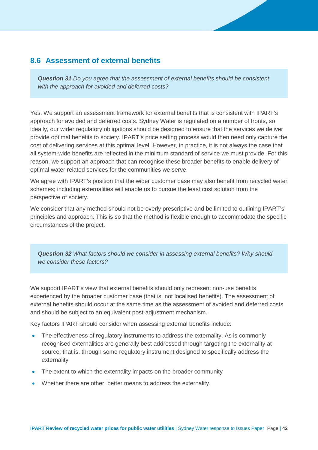### **8.6 Assessment of external benefits**

*Question 31 Do you agree that the assessment of external benefits should be consistent with the approach for avoided and deferred costs?* 

Yes. We support an assessment framework for external benefits that is consistent with IPART's approach for avoided and deferred costs. Sydney Water is regulated on a number of fronts, so ideally, our wider regulatory obligations should be designed to ensure that the services we deliver provide optimal benefits to society. IPART's price setting process would then need only capture the cost of delivering services at this optimal level. However, in practice, it is not always the case that all system-wide benefits are reflected in the minimum standard of service we must provide. For this reason, we support an approach that can recognise these broader benefits to enable delivery of optimal water related services for the communities we serve.

We agree with IPART's position that the wider customer base may also benefit from recycled water schemes; including externalities will enable us to pursue the least cost solution from the perspective of society.

We consider that any method should not be overly prescriptive and be limited to outlining IPART's principles and approach. This is so that the method is flexible enough to accommodate the specific circumstances of the project.

*Question 32 What factors should we consider in assessing external benefits? Why should we consider these factors?* 

We support IPART's view that external benefits should only represent non-use benefits experienced by the broader customer base (that is, not localised benefits). The assessment of external benefits should occur at the same time as the assessment of avoided and deferred costs and should be subject to an equivalent post-adjustment mechanism.

Key factors IPART should consider when assessing external benefits include:

- The effectiveness of regulatory instruments to address the externality. As is commonly recognised externalities are generally best addressed through targeting the externality at source; that is, through some regulatory instrument designed to specifically address the externality
- The extent to which the externality impacts on the broader community
- Whether there are other, better means to address the externality.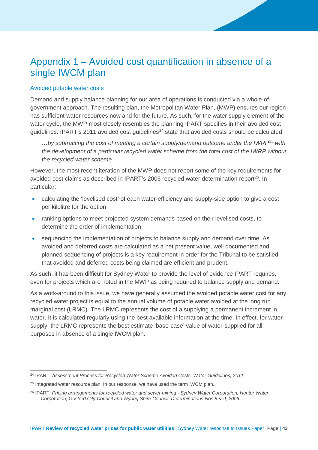## Appendix 1 – Avoided cost quantification in absence of a single IWCM plan

### Avoided potable water costs

Demand and supply balance planning for our area of operations is conducted via a whole-ofgovernment approach. The resulting plan, the Metropolitan Water Plan, (MWP) ensures our region has sufficient water resources now and for the future. As such, for the water supply element of the water cycle, the MWP most closely resembles the planning IPART specifies in their avoided cost guidelines. IPART's 2011 avoided cost guidelines<sup>[24](#page-43-0)</sup> state that avoided costs should be calculated:

*…by subtracting the cost of meeting a certain supply/demand outcome under the IWRP[25](#page-43-1) with the development of a particular recycled water scheme from the total cost of the IWRP without the recycled water scheme.* 

However, the most recent iteration of the MWP does not report some of the key requirements for avoided cost claims as described in IPART's 2006 recycled water determination report<sup>[26](#page-43-2)</sup>. In particular:

- calculating the 'levelised cost' of each water-efficiency and supply-side option to give a cost per kilolitre for the option
- ranking options to meet projected system demands based on their levelised costs, to determine the order of implementation
- sequencing the implementation of projects to balance supply and demand over time. As avoided and deferred costs are calculated as a net present value, well documented and planned sequencing of projects is a key requirement in order for the Tribunal to be satisfied that avoided and deferred costs being claimed are efficient and prudent.

As such, it has been difficult for Sydney Water to provide the level of evidence IPART requires, even for projects which are noted in the MWP as being required to balance supply and demand.

As a work-around to this issue, we have generally assumed the avoided potable water cost for any recycled water project is equal to the annual volume of potable water avoided at the long run marginal cost (LRMC). The LRMC represents the cost of a supplying a permanent increment in water. It is calculated regularly using the best available information at the time. In effect, for water supply, the LRMC represents the best estimate 'base-case' value of water-supplied for all purposes in absence of a single IWCM plan.

<span id="page-43-0"></span> <sup>24</sup> IPART, *Assessment Process for Recycled Water Scheme Avoided Costs, Water Guidelines, 2011*

<span id="page-43-1"></span> $25$  Integrated water resource plan. In our response, we have used the term IWCM plan.

<span id="page-43-2"></span><sup>26</sup> IPART, *Pricing arrangements for recycled water and sewer mining - Sydney Water Corporation, Hunter Water Corporation, Gosford City Council and Wyong Shire Council, Determinations Nos 8 & 9, 2006.*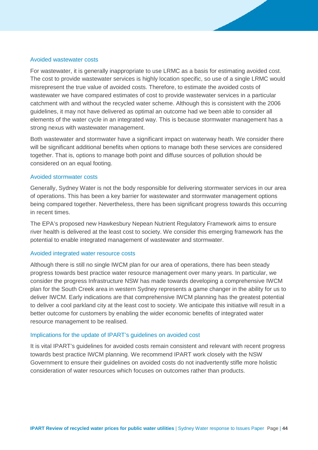#### Avoided wastewater costs

For wastewater, it is generally inappropriate to use LRMC as a basis for estimating avoided cost. The cost to provide wastewater services is highly location specific, so use of a single LRMC would misrepresent the true value of avoided costs. Therefore, to estimate the avoided costs of wastewater we have compared estimates of cost to provide wastewater services in a particular catchment with and without the recycled water scheme. Although this is consistent with the 2006 guidelines, it may not have delivered as optimal an outcome had we been able to consider all elements of the water cycle in an integrated way. This is because stormwater management has a strong nexus with wastewater management.

Both wastewater and stormwater have a significant impact on waterway heath. We consider there will be significant additional benefits when options to manage both these services are considered together. That is, options to manage both point and diffuse sources of pollution should be considered on an equal footing.

#### Avoided stormwater costs

Generally, Sydney Water is not the body responsible for delivering stormwater services in our area of operations. This has been a key barrier for wastewater and stormwater management options being compared together. Nevertheless, there has been significant progress towards this occurring in recent times.

The EPA's proposed new Hawkesbury Nepean Nutrient Regulatory Framework aims to ensure river health is delivered at the least cost to society. We consider this emerging framework has the potential to enable integrated management of wastewater and stormwater.

#### Avoided integrated water resource costs

Although there is still no single IWCM plan for our area of operations, there has been steady progress towards best practice water resource management over many years. In particular, we consider the progress Infrastructure NSW has made towards developing a comprehensive IWCM plan for the South Creek area in western Sydney represents a game changer in the ability for us to deliver IWCM. Early indications are that comprehensive IWCM planning has the greatest potential to deliver a cool parkland city at the least cost to society. We anticipate this initiative will result in a better outcome for customers by enabling the wider economic benefits of integrated water resource management to be realised.

#### Implications for the update of IPART's guidelines on avoided cost

It is vital IPART's guidelines for avoided costs remain consistent and relevant with recent progress towards best practice IWCM planning. We recommend IPART work closely with the NSW Government to ensure their guidelines on avoided costs do not inadvertently stifle more holistic consideration of water resources which focuses on outcomes rather than products.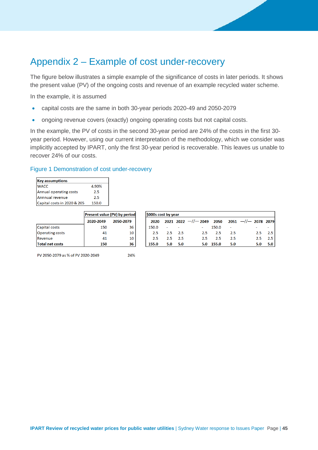## Appendix 2 – Example of cost under-recovery

The figure below illustrates a simple example of the significance of costs in later periods. It shows the present value (PV) of the ongoing costs and revenue of an example recycled water scheme.

In the example, it is assumed

- capital costs are the same in both 30-year periods 2020-49 and 2050-2079
- ongoing revenue covers (exactly) ongoing operating costs but not capital costs.

In the example, the PV of costs in the second 30-year period are 24% of the costs in the first 30 year period. However, using our current interpretation of the methodology, which we consider was implicitly accepted by IPART, only the first 30-year period is recoverable. This leaves us unable to recover 24% of our costs.

#### Figure 1 Demonstration of cost under-recovery

| <b>Key assumptions</b>      |       |
|-----------------------------|-------|
| <b>WACC</b>                 | 4.90% |
| Annual operating costs      | 2.5   |
| Annnual revenue             | 2.5   |
| Capital costs in 2020 & 205 | 150.0 |

|                        | <b>Present value (PV) by period</b> |           |  |
|------------------------|-------------------------------------|-----------|--|
|                        | 2020-2049                           | 2050-2079 |  |
| Capital costs          | 150                                 | 36        |  |
| <b>Operating costs</b> | 41                                  | 10        |  |
| Revenue                | 41                                  | 10        |  |
| <b>Total net costs</b> | 150                                 | 36        |  |

| \$000s cost by year |         |                |     |       |     |                                                |          |
|---------------------|---------|----------------|-----|-------|-----|------------------------------------------------|----------|
| 2020                |         |                |     |       |     | 2021 2022 $-/-$ 2049 2050 2051 $-/-$ 2078 2079 |          |
| 150.0               |         |                |     | 150.0 |     |                                                |          |
| 2.5                 |         | $2.5\quad 2.5$ | 2.5 | 2.5   | 2.5 | 2.5                                            | $2.5 \;$ |
| 2.5                 | $2.5 -$ | 2.5            | 2.5 | 2.5   | 2.5 | 2.5                                            | 2.51     |
| 155.0               | 5.0     | 5.0            | 5.0 | 155.0 | 5.0 | 5.0                                            | 5.O I    |

PV 2050-2079 as % of PV 2020-2049

24%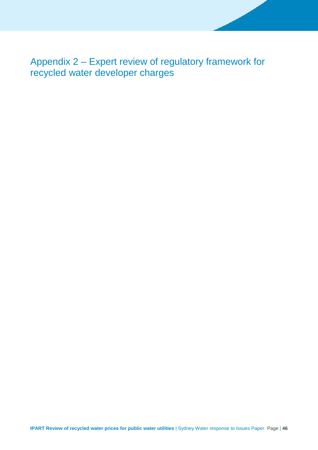Appendix 2 – Expert review of regulatory framework for recycled water developer charges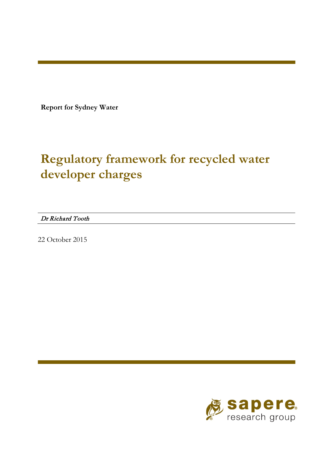**Report for Sydney Water**

# **Regulatory framework for recycled water developer charges**

Dr Richard Tooth

22 October 2015

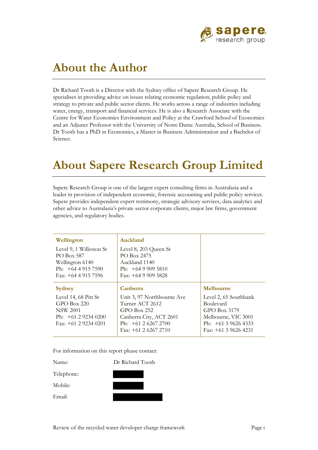

# **About the Author**

Dr Richard Tooth is a Director with the Sydney office of Sapere Research Group. He specialises in providing advice on issues relating economic regulation, public policy and strategy to private and public sector clients. He works across a range of industries including water, energy, transport and financial services. He is also a Research Associate with the Centre for Water Economics Environment and Policy at the Crawford School of Economics and an Adjunct Professor with the University of Notre Dame Australia, School of Business. Dr Tooth has a PhD in Economics, a Master in Business Administration and a Bachelor of Science.

# **About Sapere Research Group Limited**

Sapere Research Group is one of the largest expert consulting firms in Australasia and a leader in provision of independent economic, forensic accounting and public policy services. Sapere provides independent expert testimony, strategic advisory services, data analytics and other advice to Australasia's private sector corporate clients, major law firms, government agencies, and regulatory bodies.

| Wellington                                                                                             | Auckland                                                                                                                                  |                                                                                                                              |
|--------------------------------------------------------------------------------------------------------|-------------------------------------------------------------------------------------------------------------------------------------------|------------------------------------------------------------------------------------------------------------------------------|
| Level 9, 1 Willeston St<br>PO Box 587<br>Wellington 6140<br>Ph: $+6449157590$<br>Fax: $+6449157596$    | Level 8, 203 Queen St<br>PO Box 2475<br>Auckland 1140<br>Ph: $+6499095810$<br>Fax: $+6499095828$                                          |                                                                                                                              |
| Sydney                                                                                                 | Canberra                                                                                                                                  | Melbourne                                                                                                                    |
| Level 14, 68 Pitt St<br>GPO Box 220<br><b>NSW 2001</b><br>Ph: $+61292340200$<br>Fax: $+61$ 2 9234 0201 | Unit 3, 97 Northbourne Ave<br>Turner ACT 2612<br>$GPO$ Box 252<br>Canberra City, ACT 2601<br>Ph: $+61262672700$<br>Fax: $+61$ 2 6267 2710 | Level 2, 65 Southbank<br>Boulevard<br>GPO Box 3179<br>Melbourne, VIC 3001<br>Ph: $+61$ 3 9626 4333<br>Fax: $+61$ 3 9626 4231 |

For information on this report please contact:

Name: Dr Richard Tooth Telephone: Mobile: Email: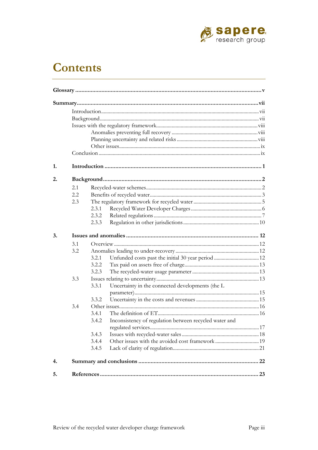

# **Contents**

| 1. |     |                                                                 |  |  |  |  |
|----|-----|-----------------------------------------------------------------|--|--|--|--|
| 2. |     |                                                                 |  |  |  |  |
|    | 2.1 |                                                                 |  |  |  |  |
|    | 2.2 |                                                                 |  |  |  |  |
|    | 2.3 |                                                                 |  |  |  |  |
|    |     | 2.3.1                                                           |  |  |  |  |
|    |     | 2.3.2                                                           |  |  |  |  |
|    |     | 2.3.3                                                           |  |  |  |  |
| 3. |     |                                                                 |  |  |  |  |
|    | 3.1 |                                                                 |  |  |  |  |
|    | 3.2 |                                                                 |  |  |  |  |
|    |     | 3.2.1                                                           |  |  |  |  |
|    |     | 3.2.2                                                           |  |  |  |  |
|    |     | 3.2.3                                                           |  |  |  |  |
|    | 3.3 |                                                                 |  |  |  |  |
|    |     | Uncertainty in the connected developments (the L<br>3.3.1       |  |  |  |  |
|    |     |                                                                 |  |  |  |  |
|    |     | 3.3.2                                                           |  |  |  |  |
|    |     | 3.4                                                             |  |  |  |  |
|    |     | 3.4.1                                                           |  |  |  |  |
|    |     | Inconsistency of regulation between recycled water and<br>3.4.2 |  |  |  |  |
|    |     | 3.4.3                                                           |  |  |  |  |
|    |     | 3.4.4                                                           |  |  |  |  |
|    |     | 3.4.5                                                           |  |  |  |  |
|    |     |                                                                 |  |  |  |  |
| 4. |     |                                                                 |  |  |  |  |
| 5. |     |                                                                 |  |  |  |  |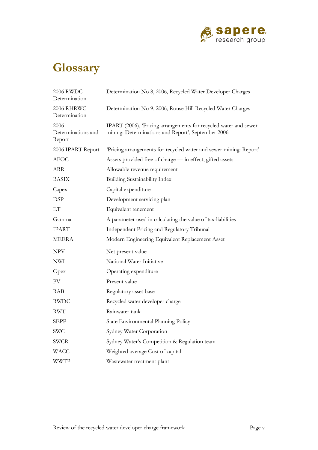

# <span id="page-53-0"></span>**Glossary**

| 2006 RWDC<br>Determination           | Determination No 8, 2006, Recycled Water Developer Charges                                                            |
|--------------------------------------|-----------------------------------------------------------------------------------------------------------------------|
| 2006 RHRWC<br>Determination          | Determination No 9, 2006, Rouse Hill Recycled Water Charges                                                           |
| 2006<br>Determinations and<br>Report | IPART (2006), Pricing arrangements for recycled water and sewer<br>mining: Determinations and Report', September 2006 |
| 2006 IPART Report                    | 'Pricing arrangements for recycled water and sewer mining: Report'                                                    |
| <b>AFOC</b>                          | Assets provided free of charge - in effect, gifted assets                                                             |
| ARR                                  | Allowable revenue requirement                                                                                         |
| BASIX                                | <b>Building Sustainability Index</b>                                                                                  |
| Capex                                | Capital expenditure                                                                                                   |
| <b>DSP</b>                           | Development servicing plan                                                                                            |
| EТ                                   | Equivalent tenement                                                                                                   |
| Gamma                                | A parameter used in calculating the value of tax-liabilities                                                          |
| <b>IPART</b>                         | Independent Pricing and Regulatory Tribunal                                                                           |
| MEERA                                | Modern Engineering Equivalent Replacement Asset                                                                       |
| <b>NPV</b>                           | Net present value                                                                                                     |
| NWI                                  | National Water Initiative                                                                                             |
| Opex                                 | Operating expenditure                                                                                                 |
| PV                                   | Present value                                                                                                         |
| RAB                                  | Regulatory asset base                                                                                                 |
| <b>RWDC</b>                          | Recycled water developer charge                                                                                       |
| <b>RWT</b>                           | Rainwater tank                                                                                                        |
| SEPP                                 | State Environmental Planning Policy                                                                                   |
| SWC                                  | Sydney Water Corporation                                                                                              |
| <b>SWCR</b>                          | Sydney Water's Competition & Regulation team                                                                          |
| WACC                                 | Weighted average Cost of capital                                                                                      |
| <b>WWTP</b>                          | Wastewater treatment plant                                                                                            |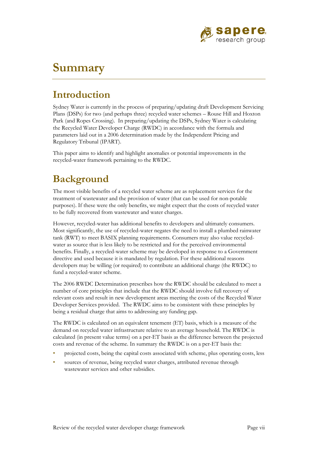

# <span id="page-55-0"></span>**Summary**

## <span id="page-55-1"></span>**Introduction**

Sydney Water is currently in the process of preparing/updating draft Development Servicing Plans (DSPs) for two (and perhaps three) recycled water schemes – Rouse Hill and Hoxton Park (and Ropes Crossing). In preparing/updating the DSPs, Sydney Water is calculating the Recycled Water Developer Charge (RWDC) in accordance with the formula and parameters laid out in a 2006 determination made by the Independent Pricing and Regulatory Tribunal (IPART).

This paper aims to identify and highlight anomalies or potential improvements in the recycled-water framework pertaining to the RWDC.

## <span id="page-55-2"></span>**Background**

The most visible benefits of a recycled water scheme are as replacement services for the treatment of wastewater and the provision of water (that can be used for non-potable purposes). If these were the only benefits, we might expect that the costs of recycled water to be fully recovered from wastewater and water charges.

However, recycled-water has additional benefits to developers and ultimately consumers. Most significantly, the use of recycled-water negates the need to install a plumbed rainwater tank (RWT) to meet BASIX planning requirements. Consumers may also value recycledwater as source that is less likely to be restricted and for the perceived environmental benefits. Finally, a recycled-water scheme may be developed in response to a Government directive and used because it is mandated by regulation. For these additional reasons developers may be willing (or required) to contribute an additional charge (the RWDC) to fund a recycled-water scheme.

The 2006 RWDC Determination prescribes how the RWDC should be calculated to meet a number of core principles that include that the RWDC should involve full recovery of relevant costs and result in new development areas meeting the costs of the Recycled Water Developer Services provided. The RWDC aims to be consistent with these principles by being a residual charge that aims to addressing any funding gap.

The RWDC is calculated on an equivalent tenement (ET) basis, which is a measure of the demand on recycled water infrastructure relative to an average household. The RWDC is calculated (in present value terms) on a per-ET basis as the difference between the projected costs and revenue of the scheme. In summary the RWDC is on a per-ET basis the:

- projected costs, being the capital costs associated with scheme, plus operating costs, less
- sources of revenue, being recycled water charges, attributed revenue through wastewater services and other subsidies.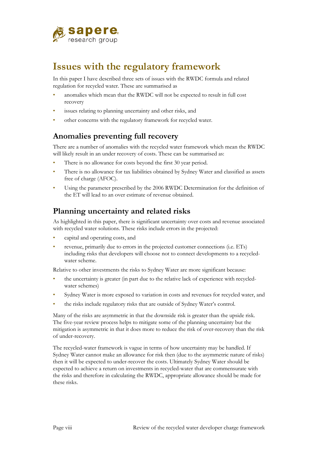

# <span id="page-56-0"></span>**Issues with the regulatory framework**

In this paper I have described three sets of issues with the RWDC formula and related regulation for recycled water. These are summarised as

- anomalies which mean that the RWDC will not be expected to result in full cost recovery
- issues relating to planning uncertainty and other risks, and
- <span id="page-56-1"></span>other concerns with the regulatory framework for recycled water.

## **Anomalies preventing full recovery**

There are a number of anomalies with the recycled water framework which mean the RWDC will likely result in an under recovery of costs. These can be summarised as:

- There is no allowance for costs beyond the first 30 year period.
- There is no allowance for tax liabilities obtained by Sydney Water and classified as assets free of charge (AFOC).
- Using the parameter prescribed by the 2006 RWDC Determination for the definition of the ET will lead to an over estimate of revenue obtained.

## <span id="page-56-2"></span>**Planning uncertainty and related risks**

As highlighted in this paper, there is significant uncertainty over costs and revenue associated with recycled water solutions. These risks include errors in the projected:

- capital and operating costs, and
- revenue, primarily due to errors in the projected customer connections (i.e. ETs) including risks that developers will choose not to connect developments to a recycledwater scheme.

Relative to other investments the risks to Sydney Water are more significant because:

- the uncertainty is greater (in part due to the relative lack of experience with recycledwater schemes)
- Sydney Water is more exposed to variation in costs and revenues for recycled water, and
- the risks include regulatory risks that are outside of Sydney Water's control.

Many of the risks are asymmetric in that the downside risk is greater than the upside risk. The five-year review process helps to mitigate some of the planning uncertainty but the mitigation is asymmetric in that it does more to reduce the risk of over-recovery than the risk of under-recovery.

The recycled-water framework is vague in terms of how uncertainty may be handled. If Sydney Water cannot make an allowance for risk then (due to the asymmetric nature of risks) then it will be expected to under-recover the costs. Ultimately Sydney Water should be expected to achieve a return on investments in recycled-water that are commensurate with the risks and therefore in calculating the RWDC, appropriate allowance should be made for these risks.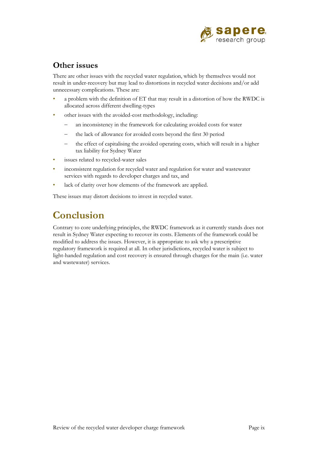

## <span id="page-57-0"></span>**Other issues**

There are other issues with the recycled water regulation, which by themselves would not result in under-recovery but may lead to distortions in recycled water decisions and/or add unnecessary complications. These are:

- a problem with the definition of ET that may result in a distortion of how the RWDC is allocated across different dwelling-types
- other issues with the avoided-cost methodology, including:
	- − an inconsistency in the framework for calculating avoided costs for water
	- − the lack of allowance for avoided costs beyond the first 30 period
	- the effect of capitalising the avoided operating costs, which will result in a higher tax liability for Sydney Water
- issues related to recycled-water sales
- inconsistent regulation for recycled water and regulation for water and wastewater services with regards to developer charges and tax, and
- lack of clarity over how elements of the framework are applied.

These issues may distort decisions to invest in recycled water.

# <span id="page-57-1"></span>**Conclusion**

Contrary to core underlying principles, the RWDC framework as it currently stands does not result in Sydney Water expecting to recover its costs. Elements of the framework could be modified to address the issues. However, it is appropriate to ask why a prescriptive regulatory framework is required at all. In other jurisdictions, recycled water is subject to light-handed regulation and cost recovery is ensured through charges for the main (i.e. water and wastewater) services.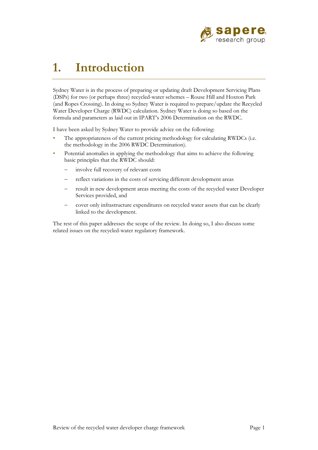

# <span id="page-59-0"></span>**1. Introduction**

Sydney Water is in the process of preparing or updating draft Development Servicing Plans (DSPs) for two (or perhaps three) recycled-water schemes – Rouse Hill and Hoxton Park (and Ropes Crossing). In doing so Sydney Water is required to prepare/update the Recycled Water Developer Charge (RWDC) calculation. Sydney Water is doing so based on the formula and parameters as laid out in IPART's 2006 Determination on the RWDC.

I have been asked by Sydney Water to provide advice on the following:

- The appropriateness of the current pricing methodology for calculating RWDCs (i.e. the methodology in the 2006 RWDC Determination).
- Potential anomalies in applying the methodology that aims to achieve the following basic principles that the RWDC should:
	- − involve full recovery of relevant costs
	- − reflect variations in the costs of servicing different development areas
	- result in new development areas meeting the costs of the recycled water Developer Services provided, and
	- − cover only infrastructure expenditures on recycled water assets that can be clearly linked to the development.

The rest of this paper addresses the scope of the review. In doing so, I also discuss some related issues on the recycled-water regulatory framework.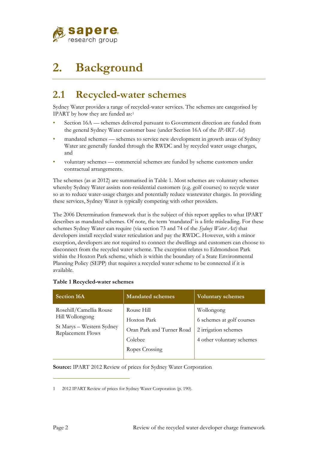

# <span id="page-60-0"></span>**2. Background**

# <span id="page-60-1"></span>**2.1 Recycled-water schemes**

Sydney Water provides a range of recycled-water services. The schemes are categorised by IPART by how they are funded as:[1](#page-60-3)

- Section 16A schemes delivered pursuant to Government direction are funded from the general Sydney Water customer base (under Section 16A of the *IPART Act*)
- mandated schemes schemes to service new development in growth areas of Sydney Water are generally funded through the RWDC and by recycled water usage charges, and
- voluntary schemes commercial schemes are funded by scheme customers under contractual arrangements.

The schemes (as at 2012) are summarised in [Table 1.](#page-60-2) Most schemes are voluntary schemes whereby Sydney Water assists non-residential customers (e.g. golf courses) to recycle water so as to reduce water-usage charges and potentially reduce wastewater charges. In providing these services, Sydney Water is typically competing with other providers.

The 2006 Determination framework that is the subject of this report applies to what IPART describes as mandated schemes. Of note, the term 'mandated' is a little misleading. For these schemes Sydney Water can require (via section 73 and 74 of the *Sydney Water Act)* that developers install recycled water reticulation and pay the RWDC. However, with a minor exception, developers are not required to connect the dwellings and customers can choose to disconnect from the recycled water scheme. The exception relates to Edmondson Park within the Hoxton Park scheme, which is within the boundary of a State Environmental Planning Policy (SEPP) that requires a recycled water scheme to be connected if it is available.

| <b>Section 16A</b>                             | <b>Mandated schemes</b>   | <b>Voluntary schemes</b>  |
|------------------------------------------------|---------------------------|---------------------------|
| Rosehill/Camellia Rouse                        | Rouse Hill                | Wollongong                |
| Hill Wollongong                                | Hoxton Park               | 6 schemes at golf courses |
| St Marys - Western Sydney<br>Replacement Flows | Oran Park and Turner Road | 2 irrigation schemes      |
|                                                | Colebee                   | 4 other voluntary schemes |
|                                                | Ropes Crossing            |                           |
|                                                |                           |                           |

### <span id="page-60-2"></span>**Table 1 Recycled-water schemes**

**Source:** IPART 2012 Review of prices for Sydney Water Corporation

<span id="page-60-3"></span><sup>1</sup> 2012 IPART Review of prices for Sydney Water Corporation (p. 190).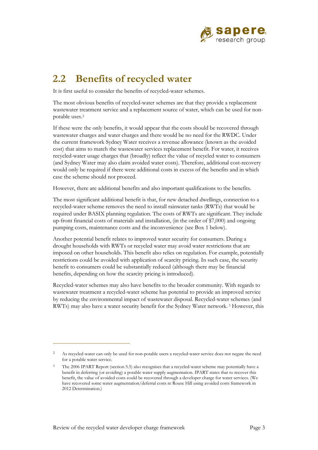

## <span id="page-61-0"></span>**2.2 Benefits of recycled water**

It is first useful to consider the benefits of recycled-water schemes.

The most obvious benefits of recycled-water schemes are that they provide a replacement wastewater treatment service and a replacement source of water, which can be used for nonpotable uses.[2](#page-61-1)

If these were the only benefits, it would appear that the costs should be recovered through wastewater charges and water charges and there would be no need for the RWDC. Under the current framework Sydney Water receives a revenue allowance (known as the avoided cost) that aims to match the wastewater services replacement benefit. For water, it receives recycled-water usage charges that (broadly) reflect the value of recycled water to consumers (and Sydney Water may also claim avoided water costs). Therefore, additional cost-recovery would only be required if there were additional costs in excess of the benefits and in which case the scheme should not proceed.

However, there are additional benefits and also important qualifications to the benefits.

The most significant additional benefit is that, for new detached dwellings, connection to a recycled-water scheme removes the need to install rainwater tanks (RWTs) that would be required under BASIX planning regulation. The costs of RWTs are significant. They include up-front financial costs of materials and installation, (in the order of \$7,000) and ongoing pumping costs, maintenance costs and the inconvenience (see [Box 1](#page-62-0) below).

Another potential benefit relates to improved water security for consumers. During a drought households with RWTs or recycled water may avoid water restrictions that are imposed on other households. This benefit also relies on regulation. For example, potentially restrictions could be avoided with application of scarcity pricing. In such case, the security benefit to consumers could be substantially reduced (although there may be financial benefits, depending on how the scarcity pricing is introduced).

Recycled-water schemes may also have benefits to the broader community. With regards to wastewater treatment a recycled-water scheme has potential to provide an improved service by reducing the environmental impact of wastewater disposal. Recycled-water schemes (and RWTs) may also have a water security benefit for the Sydney Water network. [3](#page-61-2) However, this

<span id="page-61-1"></span><sup>2</sup> As recycled-water can only be used for non-potable users a recycled-water service does not negate the need for a potable water service.

<span id="page-61-2"></span><sup>&</sup>lt;sup>3</sup> The 2006 IPART Report (section 5.5) also recognises that a recycled-water scheme may potentially have a benefit in deferring (or avoiding) a potable water supply augmentation. IPART states that to recover this benefit, the value of avoided costs could be recovered through a developer charge for water services. (We have recovered some water augmentation/deferral costs re Rouse Hill using avoided costs framework in 2012 Determination.)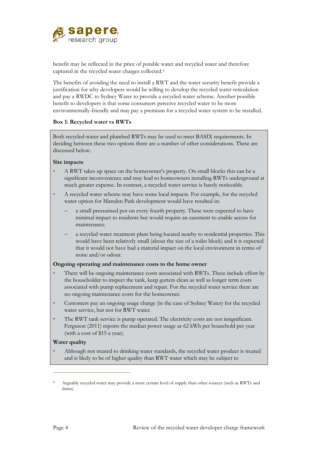

benefit may be reflected in the price of potable water and recycled water and therefore captured in the recycled water charges collected.[4](#page-62-1)

The benefits of avoiding the need to install a RWT and the water security benefit provide a justification for why developers would be willing to develop the recycled water reticulation and pay a RWDC to Sydney Water to provide a recycled-water scheme. Another possible benefit to developers is that some consumers perceive recycled water to be more environmentally-friendly and may pay a premium for a recycled water system to be installed.

#### <span id="page-62-0"></span>**Box 1: Recycled water vs RWTs**

Both recycled-water and plumbed RWTs may be used to meet BASIX requirements. In deciding between these two options there are a number of other considerations. These are discussed below.

### **Site impacts**

- A RWT takes up space on the homeowner's property. On small blocks this can be a significant inconvenience and may lead to homeowners installing RWTs underground at much greater expense. In contrast, a recycled water service is barely noticeable.
- A recycled water scheme may have some local impacts. For example, for the recycled water option for Marsden Park development would have resulted in:
	- a small pressurised pot on every fourth property. These were expected to have minimal impact to residents but would require an easement to enable access for maintenance.
	- a recycled water treatment plant being located nearby to residential properties. This would have been relatively small (about the size of a toilet block) and it is expected that it would not have had a material impact on the local environment in terms of noise and/or odour.

#### **Ongoing operating and maintenance costs to the home owner**

- There will be ongoing maintenance costs associated with RWTs. These include effort by the householder to inspect the tank, keep gutters clean as well as longer term costs associated with pump replacement and repair. For the recycled water service there are no ongoing maintenance costs for the homeowner.
- Customers pay an ongoing usage charge (in the case of Sydney Water) for the recycled water service, but not for RWT water.
- The RWT tank service is pump operated. The electricity costs are not insignificant. Ferguson (2011) reports the median power usage as 62 kWh per household per year (with a cost of \$15 a year).

#### **Water quality**

• Although not treated to drinking water standards, the recycled water product is treated and is likely to be of higher quality than RWT water which may be subject to

<span id="page-62-1"></span><sup>4</sup> Arguably recycled water may provide a more certain level of supply than other sources (such as RWTs and dams).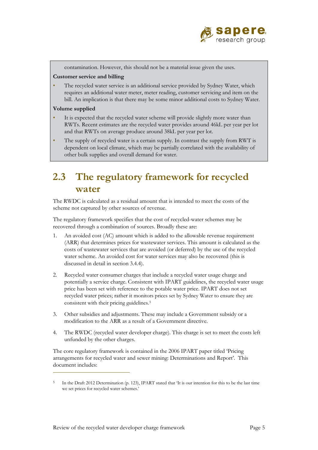

contamination. However, this should not be a material issue given the uses.

### **Customer service and billing**

The recycled water service is an additional service provided by Sydney Water, which requires an additional water meter, meter reading, customer servicing and item on the bill. An implication is that there may be some minor additional costs to Sydney Water.

### **Volume supplied**

 $\overline{a}$ 

- It is expected that the recycled water scheme will provide slightly more water than RWTs. Recent estimates are the recycled water provides around 46kL per year per lot and that RWTs on average produce around 38kL per year per lot.
- The supply of recycled water is a certain supply. In contrast the supply from RWT is dependent on local climate, which may be partially correlated with the availability of other bulk supplies and overall demand for water.

# <span id="page-63-0"></span>**2.3 The regulatory framework for recycled water**

The RWDC is calculated as a residual amount that is intended to meet the costs of the scheme not captured by other sources of revenue.

The regulatory framework specifies that the cost of recycled-water schemes may be recovered through a combination of sources. Broadly these are:

- 1. An avoided cost (AC) amount which is added to the allowable revenue requirement (ARR) that determines prices for wastewater services. This amount is calculated as the costs of wastewater services that are avoided (or deferred) by the use of the recycled water scheme. An avoided cost for water services may also be recovered (this is discussed in detail in section [3.4.4\)](#page-77-0).
- 2. Recycled water consumer charges that include a recycled water usage charge and potentially a service charge. Consistent with IPART guidelines, the recycled water usage price has been set with reference to the potable water price. IPART does not set recycled water prices; rather it monitors prices set by Sydney Water to ensure they are consistent with their pricing guidelines.<sup>[5](#page-63-1)</sup>
- 3. Other subsidies and adjustments. These may include a Government subsidy or a modification to the ARR as a result of a Government directive.
- 4. The RWDC (recycled water developer charge). This charge is set to meet the costs left unfunded by the other charges.

The core regulatory framework is contained in the 2006 IPART paper titled 'Pricing arrangements for recycled water and sewer mining: Determinations and Report'. This document includes:

<span id="page-63-1"></span><sup>5</sup> In the Draft 2012 Determination (p. 123), IPART stated that 'It is our intention for this to be the last time we set prices for recycled water schemes.'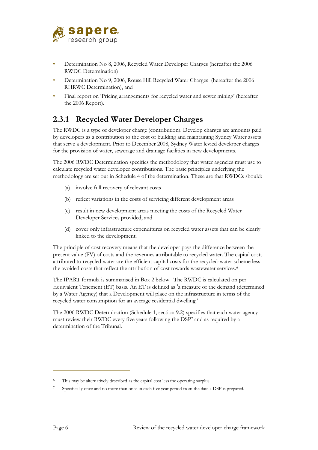

- Determination No 8, 2006, Recycled Water Developer Charges (hereafter the 2006) RWDC Determination)
- Determination No 9, 2006, Rouse Hill Recycled Water Charges (hereafter the 2006 RHRWC Determination), and
- Final report on 'Pricing arrangements for recycled water and sewer mining' (hereafter the 2006 Report).

## <span id="page-64-0"></span>**2.3.1 Recycled Water Developer Charges**

The RWDC is a type of developer charge (contribution). Develop charges are amounts paid by developers as a contribution to the cost of building and maintaining Sydney Water assets that serve a development. Prior to December 2008, Sydney Water levied developer charges for the provision of water, sewerage and drainage facilities in new developments.

The 2006 RWDC Determination specifies the methodology that water agencies must use to calculate recycled water developer contributions. The basic principles underlying the methodology are set out in Schedule 4 of the determination. These are that RWDCs should:

- (a) involve full recovery of relevant costs
- (b) reflect variations in the costs of servicing different development areas
- (c) result in new development areas meeting the costs of the Recycled Water Developer Services provided, and
- (d) cover only infrastructure expenditures on recycled water assets that can be clearly linked to the development.

The principle of cost recovery means that the developer pays the difference between the present value (PV) of costs and the revenues attributable to recycled water. The capital costs attributed to recycled water are the efficient capital costs for the recycled-water scheme less the avoided costs that reflect the attribution of cost towards wastewater services.<sup>6</sup>

The IPART formula is summarised in [Box 2](#page-65-1) below. The RWDC is calculated on per Equivalent Tenement (ET) basis. An ET is defined as **'**a measure of the demand (determined by a Water Agency) that a Development will place on the infrastructure in terms of the recycled water consumption for an average residential dwelling.'

The 2006 RWDC Determination (Schedule 1, section 9.2) specifies that each water agency must review their RWDC every five years following the DSP[7](#page-64-2) and as required by a determination of the Tribunal.

<span id="page-64-2"></span><span id="page-64-1"></span><sup>6</sup> This may be alternatively described as the capital cost less the operating surplus.

Specifically once and no more than once in each five year period from the date a DSP is prepared.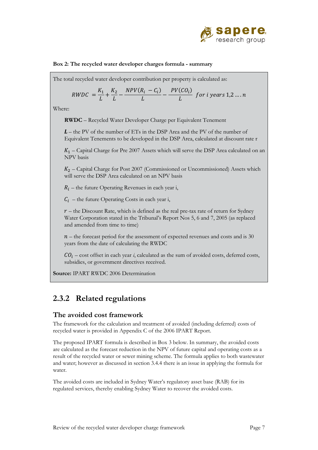

### <span id="page-65-1"></span>**Box 2: The recycled water developer charges formula - summary**

The total recycled water developer contribution per property is calculated as:

$$
RWDC = \frac{K_1}{L} + \frac{K_2}{L} - \frac{NPV(R_i - C_i)}{L} - \frac{PV(CO_i)}{L} \text{ for } i \text{ years } 1, 2 \dots n
$$

Where:

**RWDC** – Recycled Water Developer Charge per Equivalent Tenement

*L* – the PV of the number of ETs in the DSP Area and the PV of the number of Equivalent Tenements to be developed in the DSP Area, calculated at discount rate r

 $K_1$  – Capital Charge for Pre 2007 Assets which will serve the DSP Area calculated on an NPV basis

 $K<sub>2</sub>$  – Capital Charge for Post 2007 (Commissioned or Uncommissioned) Assets which will serve the DSP Area calculated on an NPV basis

 $R_i$  – the future Operating Revenues in each year i,

 $C_i$  – the future Operating Costs in each year i,

 $r$  – the Discount Rate, which is defined as the real pre-tax rate of return for Sydney Water Corporation stated in the Tribunal's Report Nos 5, 6 and 7, 2005 (as replaced and amended from time to time)

 $n$  – the forecast period for the assessment of expected revenues and costs and is 30 years from the date of calculating the RWDC

 $CO<sub>i</sub>$  – cost offset in each year *i*, calculated as the sum of avoided costs, deferred costs, subsidies, or government directives received.

**Source:** IPART RWDC 2006 Determination

### <span id="page-65-0"></span>**2.3.2 Related regulations**

### **The avoided cost framework**

The framework for the calculation and treatment of avoided (including deferred) costs of recycled water is provided in Appendix C of the 2006 IPART Report.

The proposed IPART formula is described i[n Box 3](#page-66-0) below. In summary, the avoided costs are calculated as the forecast reduction in the NPV of future capital and operating costs as a result of the recycled water or sewer mining scheme. The formula applies to both wastewater and water; however as discussed in section [3.4.4](#page-77-0) there is an issue in applying the formula for water.

The avoided costs are included in Sydney Water's regulatory asset base (RAB) for its regulated services, thereby enabling Sydney Water to recover the avoided costs.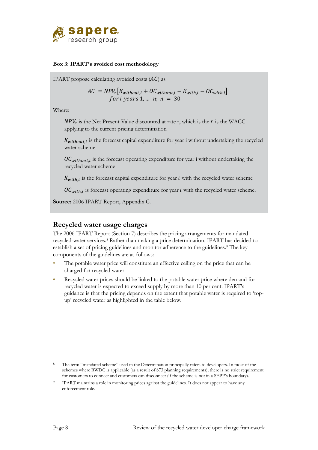

### <span id="page-66-0"></span>**Box 3: IPART's avoided cost methodology**

IPART propose calculating avoided costs  $(AC)$  as

 $AC = NPV_r[K_{without,i} + OC_{without,i} - K_{with,i} - OC_{with,i}]$ *for i years* 1, ..., *n*;  $n = 30$ 

Where:

 $NPV_r$  is the Net Present Value discounted at rate r, which is the r is the WACC applying to the current pricing determination

 $K_{without,i}$  is the forecast capital expenditure for year i without undertaking the recycled water scheme

 $0 \mathcal{C}_{without,i}$  is the forecast operating expenditure for year i without undertaking the recycled water scheme

 $K_{with,i}$  is the forecast capital expenditure for year  $i$  with the recycled water scheme

 $0 \mathcal{C}_{with,i}$  is forecast operating expenditure for year  $i$  with the recycled water scheme.

**Source:** 2006 IPART Report, Appendix C.

### **Recycled water usage charges**

The 2006 IPART Report (Section 7) describes the pricing arrangements for mandated recycled-water services.[8](#page-66-1) Rather than making a price determination, IPART has decided to establish a set of pricing guidelines and monitor adherence to the guidelines.<sup>[9](#page-66-2)</sup> The key components of the guidelines are as follows:

- The potable water price will constitute an effective ceiling on the price that can be charged for recycled water
- Recycled water prices should be linked to the potable water price where demand for recycled water is expected to exceed supply by more than 10 per cent. IPART's guidance is that the pricing depends on the extent that potable water is required to 'topup' recycled water as highlighted in the table below.

<span id="page-66-1"></span>The term "mandated scheme" used in the Determination principally refers to developers. In most of the schemes where RWDC is applicable (as a result of S73 planning requirements), there is no strict requirement for customers to connect and customers can disconnect (if the scheme is not in a SEPP's boundary).

<span id="page-66-2"></span>IPART maintains a role in monitoring prices against the guidelines. It does not appear to have any enforcement role.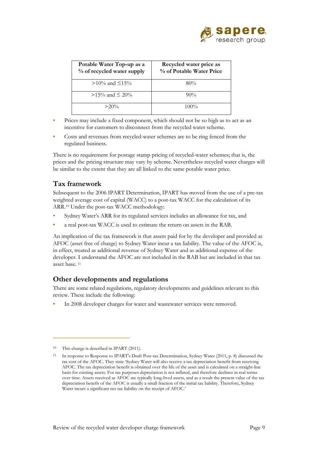

| Potable Water Top-up as a<br>% of recycled water supply | Recycled water price as<br>% of Potable Water Price |
|---------------------------------------------------------|-----------------------------------------------------|
| $>10\%$ and $\leq 15\%$                                 | 80%                                                 |
| $>15\%$ and $\leq 20\%$                                 | $90\%$                                              |
| $>20\%$                                                 | $100\%$                                             |

- Prices may include a fixed component, which should not be so high as to act as an incentive for customers to disconnect from the recycled water scheme.
- Costs and revenues from recycled-water schemes are to be ring fenced from the regulated business.

There is no requirement for postage stamp pricing of recycled-water schemes; that is, the prices and the pricing structure may vary by scheme. Nevertheless recycled water charges will be similar to the extent that they are all linked to the same potable water price.

### **Tax framework**

Subsequent to the 2006 IPART Determination, IPART has moved from the use of a pre-tax weighted average cost of capital (WACC) to a post-tax WACC for the calculation of its ARR[.10](#page-67-0) Under the post-tax WACC methodology:

- Sydney Water's ARR for its regulated services includes an allowance for tax, and
- a real post-tax WACC is used to estimate the return on assets in the RAB.

An implication of the tax framework is that assets paid for by the developer and provided as AFOC (asset free of charge) to Sydney Water incur a tax liability. The value of the AFOC is, in effect, treated as additional revenue of Sydney Water and as additional expense of the developer. I understand the AFOC are not included in the RAB but are included in that tax asset base. [11](#page-67-1)

### **Other developments and regulations**

There are some related regulations, regulatory developments and guidelines relevant to this review. These include the following:

In 2008 developer charges for water and wastewater services were removed.

<span id="page-67-0"></span>This change is described in IPART (2011).

<span id="page-67-1"></span><sup>11</sup> In response to Response to IPART's Draft Post-tax Determination, Sydney Water (2011, p. 8) discussed the tax cost of the AFOC. They state 'Sydney Water will also receive a tax depreciation benefit from receiving AFOC. The tax depreciation benefit is obtained over the life of the asset and is calculated on a straight-line basis for existing assets. For tax purposes depreciation is not inflated, and therefore declines in real terms over time. Assets received as AFOC are typically long-lived assets, and as a result the present value of the tax depreciation benefit of the AFOC is usually a small fraction of the initial tax liability. Therefore, Sydney Water incurs a significant net tax liability on the receipt of AFOC.'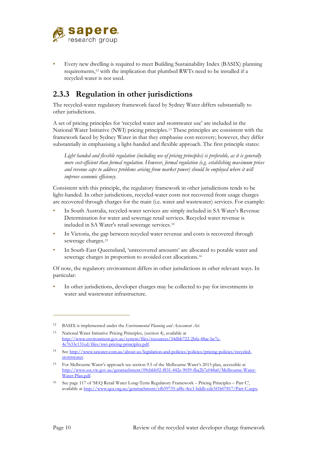

• Every new dwelling is required to meet Building Sustainability Index (BASIX) planning requirements,[12](#page-68-1) with the implication that plumbed RWTs need to be installed if a recycled-water is not used.

## <span id="page-68-0"></span>**2.3.3 Regulation in other jurisdictions**

The recycled-water regulatory framework faced by Sydney Water differs substantially to other jurisdictions.

A set of pricing principles for 'recycled water and stormwater use' are included in the National Water Initiative (NWI) pricing principles[.13](#page-68-2) These principles are consistent with the framework faced by Sydney Water in that they emphasise cost-recovery; however, they differ substantially in emphasising a light-handed and flexible approach. The first principle states:

*Light handed and flexible regulation (including use of pricing principles) is preferable, as it is generally more cost-efficient than formal regulation. However, formal regulation (e.g. establishing maximum prices and revenue caps to address problems arising from market power) should be employed where it will improve economic efficiency.*

Consistent with this principle, the regulatory framework in other jurisdictions tends to be light-handed. In other jurisdictions, recycled-water costs not recovered from usage charges are recovered through charges for the main (i.e. water and wastewater) services. For example:

- In South Australia, recycled-water services are simply included in SA Water's Revenue Determination for water and sewerage retail services. Recycled water revenue is included in SA Water's retail sewerage services.[14](#page-68-3)
- In Victoria, the gap between recycled water revenue and costs is recovered through sewerage charges.[15](#page-68-4)
- In South-East Queensland, 'unrecovered amounts' are allocated to potable water and sewerage charges in proportion to avoided cost allocations.[16](#page-68-5)

Of note, the regulatory environment differs in other jurisdictions in other relevant ways. In particular:

In other jurisdictions, developer charges may be collected to pay for investments in water and wastewater infrastructure.

<span id="page-68-1"></span><sup>12</sup> BASIX is implemented under the *Environmental Planning and Assessment Act*.

<span id="page-68-2"></span><sup>13</sup> National Water Initiative Pricing Principles, (section 4), available at [http://www.environment.gov.au/system/files/resources/34dbb722-2bfa-48ac-be7e-](http://www.environment.gov.au/system/files/resources/34dbb722-2bfa-48ac-be7e-4e7633c151ed/files/nwi-pricing-principles.pdf)[4e7633c151ed/files/nwi-pricing-principles.pdf.](http://www.environment.gov.au/system/files/resources/34dbb722-2bfa-48ac-be7e-4e7633c151ed/files/nwi-pricing-principles.pdf) 

<span id="page-68-3"></span><sup>14</sup> Se[e http://www.sawater.com.au/about-us/legislation-and-policies/policies/pricing-policies/recycled](http://www.sawater.com.au/about-us/legislation-and-policies/policies/pricing-policies/recycled-stormwater)[stormwater.](http://www.sawater.com.au/about-us/legislation-and-policies/policies/pricing-policies/recycled-stormwater)

<span id="page-68-4"></span><sup>15</sup> For Melbourne Water's approach see section 9.5 of the Melbourne Water's 2013 plan, accessible at [http://www.esc.vic.gov.au/getattachment/09cbbb92-f831-442e-9059-fba2b7e048a0/Melbourne-Water-](http://www.esc.vic.gov.au/getattachment/09cbbb92-f831-442e-9059-fba2b7e048a0/Melbourne-Water-Water-Plan.pdf)[Water-Plan.pdf.](http://www.esc.vic.gov.au/getattachment/09cbbb92-f831-442e-9059-fba2b7e048a0/Melbourne-Water-Water-Plan.pdf) 

<span id="page-68-5"></span><sup>16</sup> See page 117 of 'SEQ Retail Water Long‐Term Regulatory Framework – Pricing Principles – Part C', available a[t http://www.qca.org.au/getattachment/efb59735-af8c-4ce1-bddb-cdc5f1b07817/Part-C.aspx.](http://www.qca.org.au/getattachment/efb59735-af8c-4ce1-bddb-cdc5f1b07817/Part-C.aspx)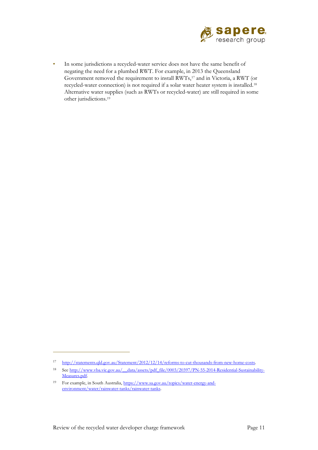

• In some jurisdictions a recycled-water service does not have the same benefit of negating the need for a plumbed RWT. For example, in 2013 the Queensland Government removed the requirement to install RWTs,[17](#page-69-0) and in Victoria, a RWT (or recycled-water connection) is not required if a solar water heater system is installed.[18](#page-69-1) Alternative water supplies (such as RWTs or recycled-water) are still required in some other jurisdictions.[19](#page-69-2)

<sup>17</sup> http://statements.gld.gov.au/Statement/2012/12/14/reforms-to-cut-thousands-from-new-home-costs.

<span id="page-69-1"></span><span id="page-69-0"></span><sup>18</sup> Se[e http://www.vba.vic.gov.au/\\_\\_data/assets/pdf\\_file/0003/20397/PN-55-2014-Residential-Sustainability-](http://www.vba.vic.gov.au/__data/assets/pdf_file/0003/20397/PN-55-2014-Residential-Sustainability-Measures.pdf)Measures.pdf.

<span id="page-69-2"></span><sup>19</sup> For example, in South Australia, [https://www.sa.gov.au/topics/water-energy-and](https://www.sa.gov.au/topics/water-energy-and-environment/water/rainwater-tanks/rainwater-tanks)[environment/water/rainwater-tanks/rainwater-tanks.](https://www.sa.gov.au/topics/water-energy-and-environment/water/rainwater-tanks/rainwater-tanks)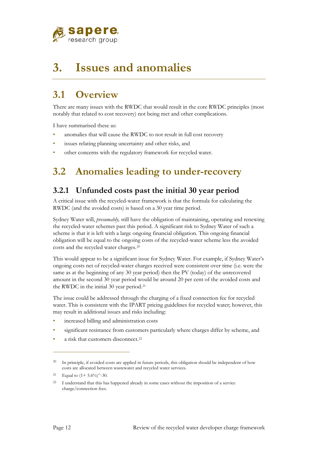

# <span id="page-70-0"></span>**3. Issues and anomalies**

# <span id="page-70-1"></span>**3.1 Overview**

There are many issues with the RWDC that would result in the core RWDC principles (most notably that related to cost recovery) not being met and other complications.

I have summarised these as:

- anomalies that will cause the RWDC to not result in full cost recovery
- issues relating planning uncertainty and other risks, and
- <span id="page-70-2"></span>other concerns with the regulatory framework for recycled water.

# **3.2 Anomalies leading to under-recovery**

## <span id="page-70-3"></span>**3.2.1 Unfunded costs past the initial 30 year period**

A critical issue with the recycled-water framework is that the formula for calculating the RWDC (and the avoided costs) is based on a 30 year time period.

Sydney Water will, *presumably,* still have the obligation of maintaining, operating and renewing the recycled-water schemes past this period. A significant risk to Sydney Water of such a scheme is that it is left with a large ongoing financial obligation. This ongoing financial obligation will be equal to the ongoing costs of the recycled-water scheme less the avoided costs and the recycled water charges.[20](#page-70-4)

This would appear to be a significant issue for Sydney Water. For example, if Sydney Water's ongoing costs net of recycled-water charges received were consistent over time (i.e. were the same as at the beginning of any 30 year period) then the PV (today) of the unrecovered amount in the second 30 year period would be around 20 per cent of the avoided costs and the RWDC in the initial 30 year period.[21](#page-70-5)

The issue could be addressed through the charging of a fixed connection fee for recycled water. This is consistent with the IPART pricing guidelines for recycled water; however, this may result in additional issues and risks including:

- increased billing and administration costs
- significant resistance from customers particularly where charges differ by scheme, and
- a risk that customers disconnect.<sup>[22](#page-70-6)</sup>

<span id="page-70-4"></span><sup>&</sup>lt;sup>20</sup> In principle, if avoided costs are applied in future periods, this obligation should be independent of how costs are allocated between wastewater and recycled water services.

<span id="page-70-5"></span><sup>&</sup>lt;sup>21</sup> Equal to  $(1+5.6\%)^2$ -30.

<span id="page-70-6"></span><sup>&</sup>lt;sup>22</sup> I understand that this has happened already in some cases without the imposition of a service charge/connection fees.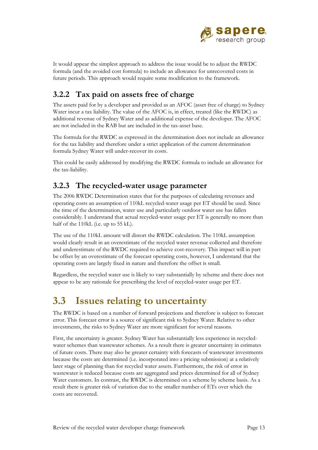

It would appear the simplest approach to address the issue would be to adjust the RWDC formula (and the avoided cost formula) to include an allowance for unrecovered costs in future periods. This approach would require some modification to the framework.

## <span id="page-71-0"></span>**3.2.2 Tax paid on assets free of charge**

The assets paid for by a developer and provided as an AFOC (asset free of charge) to Sydney Water incur a tax liability. The value of the AFOC is, in effect, treated (like the RWDC) as additional revenue of Sydney Water and as additional expense of the developer. The AFOC are not included in the RAB but are included in the tax-asset base.

The formula for the RWDC as expressed in the determination does not include an allowance for the tax liability and therefore under a strict application of the current determination formula Sydney Water will under-recover its costs.

This could be easily addressed by modifying the RWDC formula to include an allowance for the tax-liability.

## <span id="page-71-1"></span>**3.2.3 The recycled-water usage parameter**

The 2006 RWDC Determination states that for the purposes of calculating revenues and operating costs an assumption of 110kL recycled-water usage per ET should be used. Since the time of the determination, water use and particularly outdoor water use has fallen considerably. I understand that actual recycled-water usage per ET is generally no more than half of the 110kL (i.e. up to 55 kL).

The use of the 110kL amount will distort the RWDC calculation. The 110kL assumption would clearly result in an overestimate of the recycled water revenue collected and therefore and underestimate of the RWDC required to achieve cost-recovery. This impact will in part be offset by an overestimate of the forecast operating costs, however, I understand that the operating costs are largely fixed in nature and therefore the offset is small.

Regardless, the recycled water use is likely to vary substantially by scheme and there does not appear to be any rationale for prescribing the level of recycled-water usage per ET.

## <span id="page-71-2"></span>**3.3 Issues relating to uncertainty**

The RWDC is based on a number of forward projections and therefore is subject to forecast error. This forecast error is a source of significant risk to Sydney Water. Relative to other investments, the risks to Sydney Water are more significant for several reasons.

First, the uncertainty is greater. Sydney Water has substantially less experience in recycledwater schemes than wastewater schemes. As a result there is greater uncertainty in estimates of future costs. There may also be greater certainty with forecasts of wastewater investments because the costs are determined (i.e. incorporated into a pricing submission) at a relatively later stage of planning than for recycled water assets. Furthermore, the risk of error in wastewater is reduced because costs are aggregated and prices determined for all of Sydney Water customers. In contrast, the RWDC is determined on a scheme by scheme basis. As a result there is greater risk of variation due to the smaller number of ETs over which the costs are recovered.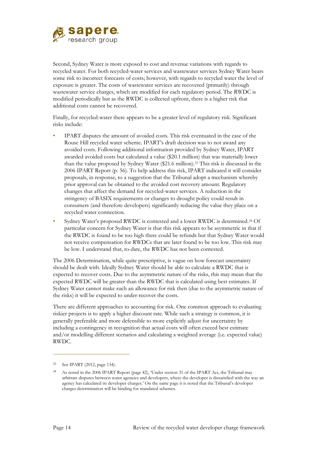

Second, Sydney Water is more exposed to cost and revenue variations with regards to recycled water. For both recycled-water services and wastewater services Sydney Water bears some risk to incorrect forecasts of costs; however, with regards to recycled water the level of exposure is greater. The costs of wastewater services are recovered (primarily) through wastewater service charges, which are modified for each regulatory period. The RWDC is modified periodically but as the RWDC is collected upfront, there is a higher risk that additional costs cannot be recovered.

Finally, for recycled-water there appears to be a greater level of regulatory risk. Significant risks include:

- IPART disputes the amount of avoided costs. This risk eventuated in the case of the Rouse Hill recycled water scheme. IPART's draft decision was to not award any avoided costs. Following additional information provided by Sydney Water, IPART awarded avoided costs but calculated a value (\$20.1 million) that was materially lower than the value proposed by Sydney Water (\$21.6 million).[23](#page-72-0) This risk is discussed in the 2006 IPART Report (p. 56). To help address this risk, IPART indicated it will consider proposals, in response, to a suggestion that the Tribunal adopt a mechanism whereby prior approval can be obtained to the avoided cost recovery amount. Regulatory changes that affect the demand for recycled-water services. A reduction in the stringency of BASIX requirements or changes to drought policy could result in consumers (and therefore developers) significantly reducing the value they place on a recycled water connection.
- Sydney Water's proposed RWDC is contested and a lower RWDC is determined.[24](#page-72-1) Of particular concern for Sydney Water is that this risk appears to be asymmetric in that if the RWDC is found to be too high there could be refunds but that Sydney Water would not receive compensation for RWDCs that are later found to be too low. This risk may be low. I understand that, to-date, the RWDC has not been contested.

The 2006 Determination, while quite prescriptive, is vague on how forecast uncertainty should be dealt with. Ideally Sydney Water should be able to calculate a RWDC that is expected to recover costs. Due to the asymmetric nature of the risks, this may mean that the expected RWDC will be greater than the RWDC that is calculated using best estimates. If Sydney Water cannot make such an allowance for risk then (due to the asymmetric nature of the risks) it will be expected to under-recover the costs.

There are different approaches to accounting for risk. One common approach to evaluating riskier projects is to apply a higher discount rate. While such a strategy is common, it is generally preferable and more defensible to more explicitly adjust for uncertainty by including a contingency in recognition that actual costs will often exceed best estimate and/or modelling different scenarios and calculating a weighted average (i.e. expected value) RWDC.

<span id="page-72-0"></span><sup>23</sup> See IPART (2012, page 134).

<span id="page-72-1"></span><sup>24</sup> As noted in the 2006 IPART Report (page 42), 'Under section 31 of the IPART Act, the Tribunal may arbitrate disputes between water agencies and developers, where the developer is dissatisfied with the way an agency has calculated its developer charges.' On the same page it is noted that the Tribunal's developer charges determination will be binding for mandated schemes.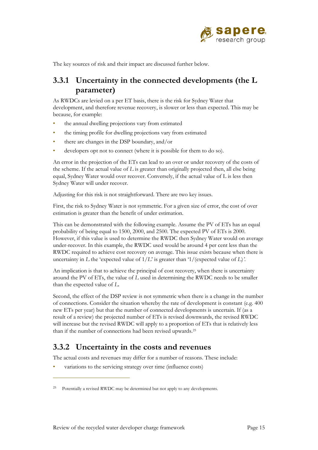

The key sources of risk and their impact are discussed further below.

## **3.3.1 Uncertainty in the connected developments (the L parameter)**

As RWDCs are levied on a per ET basis, there is the risk for Sydney Water that development, and therefore revenue recovery, is slower or less than expected. This may be because, for example:

- the annual dwelling projections vary from estimated
- the timing profile for dwelling projections vary from estimated
- there are changes in the DSP boundary, and/or
- developers opt not to connect (where it is possible for them to do so).

An error in the projection of the ETs can lead to an over or under recovery of the costs of the scheme. If the actual value of *L* is greater than originally projected then, all else being equal, Sydney Water would over recover. Conversely, if the actual value of L is less then Sydney Water will under recover.

Adjusting for this risk is not straightforward. There are two key issues.

First, the risk to Sydney Water is not symmetric. For a given size of error, the cost of over estimation is greater than the benefit of under estimation.

This can be demonstrated with the following example. Assume the PV of ETs has an equal probability of being equal to 1500, 2000, and 2500. The expected PV of ETs is 2000. However, if this value is used to determine the RWDC then Sydney Water would on average under-recover. In this example, the RWDC used would be around 4 per cent less than the RWDC required to achieve cost recovery on average. This issue exists because when there is uncertainty in *L* the 'expected value of 1/*L*' is greater than '1/(expected value of *L*)*'*.

An implication is that to achieve the principal of cost recovery, when there is uncertainty around the PV of ETs, the value of *L* used in determining the RWDC needs to be smaller than the expected value of *L*.

Second, the effect of the DSP review is not symmetric when there is a change in the number of connections. Consider the situation whereby the rate of development is constant (e.g. 400 new ETs per year) but that the number of connected developments is uncertain. If (as a result of a review) the projected number of ETs is revised downwards, the revised RWDC will increase but the revised RWDC will apply to a proportion of ETs that is relatively less than if the number of connections had been revised upwards.[25](#page-73-0)

## **3.3.2 Uncertainty in the costs and revenues**

The actual costs and revenues may differ for a number of reasons. These include:

variations to the servicing strategy over time (influence costs)

<span id="page-73-0"></span><sup>25</sup> Potentially a revised RWDC may be determined but not apply to any developments.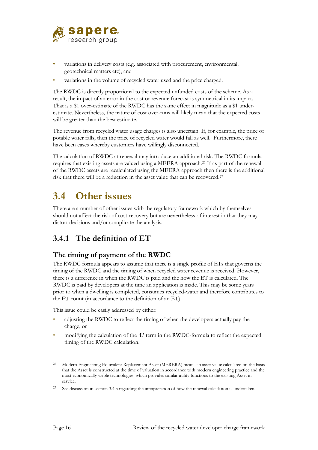

- variations in delivery costs (e.g. associated with procurement, environmental, geotechnical matters etc), and
- variations in the volume of recycled water used and the price charged.

The RWDC is directly proportional to the expected unfunded costs of the scheme. As a result, the impact of an error in the cost or revenue forecast is symmetrical in its impact. That is a \$1 over-estimate of the RWDC has the same effect in magnitude as a \$1 underestimate. Nevertheless, the nature of cost over-runs will likely mean that the expected costs will be greater than the best estimate.

The revenue from recycled water usage charges is also uncertain. If, for example, the price of potable water falls, then the price of recycled water would fall as well. Furthermore, there have been cases whereby customers have willingly disconnected.

The calculation of RWDC at renewal may introduce an additional risk. The RWDC formula requires that existing assets are valued using a MEERA approach.[26](#page-74-0) If as part of the renewal of the RWDC assets are recalculated using the MEERA approach then there is the additional risk that there will be a reduction in the asset value that can be recovered.[27](#page-74-1)

## **3.4 Other issues**

There are a number of other issues with the regulatory framework which by themselves should not affect the risk of cost-recovery but are nevertheless of interest in that they may distort decisions and/or complicate the analysis.

## **3.4.1 The definition of ET**

#### **The timing of payment of the RWDC**

The RWDC formula appears to assume that there is a single profile of ETs that governs the timing of the RWDC and the timing of when recycled water revenue is received. However, there is a difference in when the RWDC is paid and the how the ET is calculated. The RWDC is paid by developers at the time an application is made. This may be some years prior to when a dwelling is completed, consumes recycled-water and therefore contributes to the ET count (in accordance to the definition of an ET).

This issue could be easily addressed by either:

- adjusting the RWDC to reflect the timing of when the developers actually pay the charge, or
- modifying the calculation of the 'L' term in the RWDC-formula to reflect the expected timing of the RWDC calculation.

<span id="page-74-0"></span><sup>&</sup>lt;sup>26</sup> Modern Engineering Equivalent Replacement Asset (MERERA) means an asset value calculated on the basis that the Asset is constructed at the time of valuation in accordance with modern engineering practice and the most economically viable technologies, which provides similar utility functions to the existing Asset in service.

<span id="page-74-1"></span><sup>&</sup>lt;sup>27</sup> See discussion in section [3.4.5](#page-79-0) regarding the interpretation of how the renewal calculation is undertaken.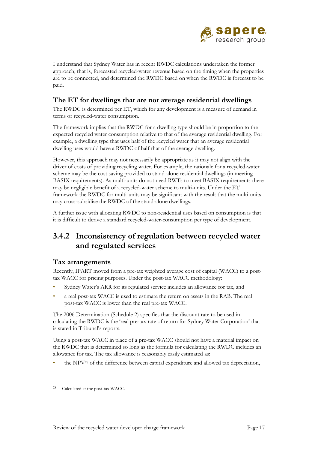

I understand that Sydney Water has in recent RWDC calculations undertaken the former approach; that is, forecasted recycled-water revenue based on the timing when the properties are to be connected, and determined the RWDC based on when the RWDC is forecast to be paid.

#### **The ET for dwellings that are not average residential dwellings**

The RWDC is determined per ET, which for any development is a measure of demand in terms of recycled-water consumption.

The framework implies that the RWDC for a dwelling type should be in proportion to the expected recycled water consumption relative to that of the average residential dwelling. For example, a dwelling type that uses half of the recycled water that an average residential dwelling uses would have a RWDC of half that of the average dwelling.

However, this approach may not necessarily be appropriate as it may not align with the driver of costs of providing recycling water. For example, the rationale for a recycled-water scheme may be the cost saving provided to stand-alone residential dwellings (in meeting BASIX requirements). As multi-units do not need RWTs to meet BASIX requirements there may be negligible benefit of a recycled-water scheme to multi-units. Under the ET framework the RWDC for multi-units may be significant with the result that the multi-units may cross-subsidise the RWDC of the stand-alone dwellings.

A further issue with allocating RWDC to non-residential uses based on consumption is that it is difficult to derive a standard recycled-water-consumption per type of development.

## **3.4.2 Inconsistency of regulation between recycled water and regulated services**

#### **Tax arrangements**

Recently, IPART moved from a pre-tax weighted average cost of capital (WACC) to a posttax WACC for pricing purposes. Under the post-tax WACC methodology:

- Sydney Water's ARR for its regulated service includes an allowance for tax, and
- a real post-tax WACC is used to estimate the return on assets in the RAB. The real post-tax WACC is lower than the real pre-tax WACC.

The 2006 Determination (Schedule 2) specifies that the discount rate to be used in calculating the RWDC is the 'real pre-tax rate of return for Sydney Water Corporation' that is stated in Tribunal's reports.

Using a post-tax WACC in place of a pre-tax WACC should not have a material impact on the RWDC that is determined so long as the formula for calculating the RWDC includes an allowance for tax. The tax allowance is reasonably easily estimated as:

• the NPV[28](#page-75-0) of the difference between capital expenditure and allowed tax depreciation,

<span id="page-75-0"></span><sup>28</sup> Calculated at the post-tax WACC.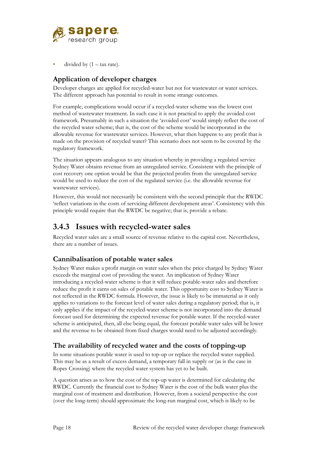

divided by  $(1 - \text{tax rate}).$ 

### **Application of developer charges**

Developer charges are applied for recycled-water but not for wastewater or water services. The different approach has potential to result in some strange outcomes.

For example, complications would occur if a recycled-water scheme was the lowest cost method of wastewater treatment. In such case it is not practical to apply the avoided cost framework. Presumably in such a situation the 'avoided cost' would simply reflect the cost of the recycled water scheme; that is, the cost of the scheme would be incorporated in the allowable revenue for wastewater services. However, what then happens to any profit that is made on the provision of recycled water? This scenario does not seem to be covered by the regulatory framework.

The situation appears analogous to any situation whereby in providing a regulated service Sydney Water obtains revenue from an unregulated service. Consistent with the principle of cost recovery one option would be that the projected profits from the unregulated service would be used to reduce the cost of the regulated service (i.e. the allowable revenue for wastewater services).

However, this would not necessarily be consistent with the second principle that the RWDC 'reflect variations in the costs of servicing different development areas'. Consistency with this principle would require that the RWDC be negative; that is, provide a rebate.

### **3.4.3 Issues with recycled-water sales**

Recycled water sales are a small source of revenue relative to the capital cost. Nevertheless, there are a number of issues.

#### **Cannibalisation of potable water sales**

Sydney Water makes a profit margin on water sales when the price charged by Sydney Water exceeds the marginal cost of providing the water. An implication of Sydney Water introducing a recycled-water scheme is that it will reduce potable-water sales and therefore reduce the profit it earns on sales of potable water. This opportunity cost to Sydney Water is not reflected in the RWDC formula. However, the issue is likely to be immaterial as it only applies to variations to the forecast level of water sales during a regulatory period; that is, it only applies if the impact of the recycled-water scheme is not incorporated into the demand forecast used for determining the expected revenue for potable water. If the recycled-water scheme is anticipated, then, all else being equal, the forecast potable water sales will be lower and the revenue to be obtained from fixed charges would need to be adjusted accordingly.

#### **The availability of recycled water and the costs of topping-up**

In some situations potable water is used to top-up or replace the recycled water supplied. This may be as a result of excess demand, a temporary fall in supply or (as is the case in Ropes Crossing) where the recycled water system has yet to be built.

A question arises as to how the cost of the top-up water is determined for calculating the RWDC. Currently the financial cost to Sydney Water is the cost of the bulk water plus the marginal cost of treatment and distribution. However, from a societal perspective the cost (over the long-term) should approximate the long-run marginal cost, which is likely to be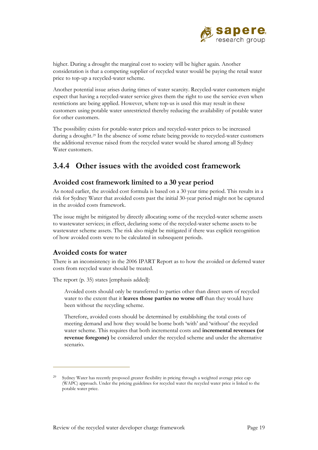

higher. During a drought the marginal cost to society will be higher again. Another consideration is that a competing supplier of recycled water would be paying the retail water price to top-up a recycled-water scheme.

Another potential issue arises during times of water scarcity. Recycled-water customers might expect that having a recycled-water service gives them the right to use the service even when restrictions are being applied. However, where top-us is used this may result in these customers using potable water unrestricted thereby reducing the availability of potable water for other customers.

The possibility exists for potable-water prices and recycled-water prices to be increased during a drought.[29](#page-77-0) In the absence of some rebate being provide to recycled-water customers the additional revenue raised from the recycled water would be shared among all Sydney Water customers.

## **3.4.4 Other issues with the avoided cost framework**

#### **Avoided cost framework limited to a 30 year period**

As noted earlier, the avoided cost formula is based on a 30 year time period. This results in a risk for Sydney Water that avoided costs past the initial 30-year period might not be captured in the avoided costs framework.

The issue might be mitigated by directly allocating some of the recycled-water scheme assets to wastewater services; in effect, declaring some of the recycled-water scheme assets to be wastewater scheme assets. The risk also might be mitigated if there was explicit recognition of how avoided costs were to be calculated in subsequent periods.

#### **Avoided costs for water**

 $\overline{a}$ 

There is an inconsistency in the 2006 IPART Report as to how the avoided or deferred water costs from recycled water should be treated.

The report (p. 35) states [emphasis added]:

Avoided costs should only be transferred to parties other than direct users of recycled water to the extent that it **leaves those parties no worse off** than they would have been without the recycling scheme.

Therefore, avoided costs should be determined by establishing the total costs of meeting demand and how they would be borne both 'with' and 'without' the recycled water scheme. This requires that both incremental costs and **incremental revenues (or revenue foregone)** be considered under the recycled scheme and under the alternative scenario.

<span id="page-77-0"></span>Sydney Water has recently proposed greater flexibility in pricing through a weighted average price cap (WAPC) approach. Under the pricing guidelines for recycled water the recycled water price is linked to the potable water price.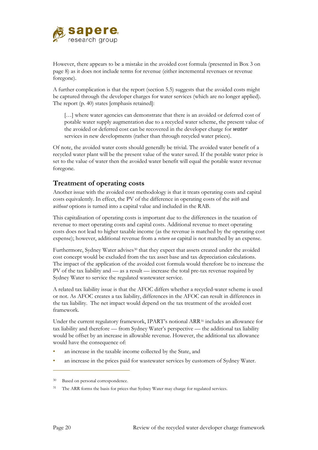

However, there appears to be a mistake in the avoided cost formula (presented in [Box 3](#page-66-0) on page [8\)](#page-66-0) as it does not include terms for revenue (either incremental revenues or revenue foregone).

A further complication is that the report (section 5.5) suggests that the avoided costs might be captured through the developer charges for water services (which are no longer applied). The report (p. 40) states [emphasis retained]:

[...] where water agencies can demonstrate that there is an avoided or deferred cost of potable water supply augmentation due to a recycled water scheme, the present value of the avoided or deferred cost can be recovered in the developer charge for *water*  services in new developments (rather than through recycled water prices).

Of note, the avoided water costs should generally be trivial. The avoided water benefit of a recycled water plant will be the present value of the water saved. If the potable water price is set to the value of water then the avoided water benefit will equal the potable water revenue foregone.

#### **Treatment of operating costs**

Another issue with the avoided cost methodology is that it treats operating costs and capital costs equivalently. In effect, the PV of the difference in operating costs of the *with* and *without* options is turned into a capital value and included in the RAB.

This capitalisation of operating costs is important due to the differences in the taxation of revenue to meet operating costs and capital costs. Additional revenue to meet operating costs does not lead to higher taxable income (as the revenue is matched by the operating cost expense); however, additional revenue from a *return on* capital is not matched by an expense.

Furthermore, Sydney Water advises<sup>[30](#page-78-0)</sup> that they expect that assets created under the avoided cost concept would be excluded from the tax asset base and tax depreciation calculations. The impact of the application of the avoided cost formula would therefore be to increase the PV of the tax liability and — as a result — increase the total pre-tax revenue required by Sydney Water to service the regulated wastewater service.

A related tax liability issue is that the AFOC differs whether a recycled-water scheme is used or not. As AFOC creates a tax liability, differences in the AFOC can result in differences in the tax liability. The net impact would depend on the tax treatment of the avoided cost framework.

Under the current regulatory framework, IPART's notional ARR<sup>[31](#page-78-1)</sup> includes an allowance for tax liability and therefore — from Sydney Water's perspective — the additional tax liability would be offset by an increase in allowable revenue. However, the additional tax allowance would have the consequence of:

- an increase in the taxable income collected by the State, and
- an increase in the prices paid for wastewater services by customers of Sydney Water.

<span id="page-78-0"></span><sup>30</sup> Based on personal correspondence.

<span id="page-78-1"></span><sup>&</sup>lt;sup>31</sup> The ARR forms the basis for prices that Sydney Water may charge for regulated services.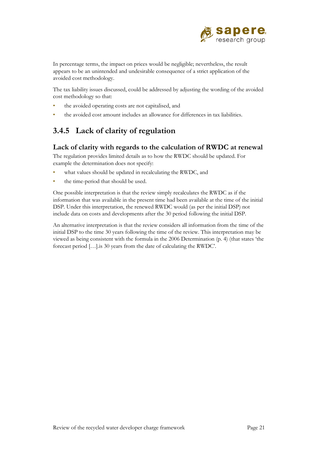

In percentage terms, the impact on prices would be negligible; nevertheless, the result appears to be an unintended and undesirable consequence of a strict application of the avoided cost methodology.

The tax liability issues discussed, could be addressed by adjusting the wording of the avoided cost methodology so that:

- the avoided operating costs are not capitalised, and
- <span id="page-79-0"></span>• the avoided cost amount includes an allowance for differences in tax liabilities.

## **3.4.5 Lack of clarity of regulation**

#### **Lack of clarity with regards to the calculation of RWDC at renewal**

The regulation provides limited details as to how the RWDC should be updated. For example the determination does not specify:

- what values should be updated in recalculating the RWDC, and
- the time-period that should be used.

One possible interpretation is that the review simply recalculates the RWDC as if the information that was available in the present time had been available at the time of the initial DSP. Under this interpretation, the renewed RWDC would (as per the initial DSP) not include data on costs and developments after the 30 period following the initial DSP.

An alternative interpretation is that the review considers all information from the time of the initial DSP to the time 30 years following the time of the review. This interpretation may be viewed as being consistent with the formula in the 2006 Determination (p. 4) (that states 'the forecast period […].is 30 years from the date of calculating the RWDC'.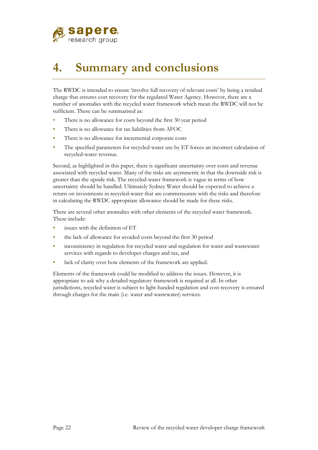

# **4. Summary and conclusions**

The RWDC is intended to ensure 'involve full recovery of relevant costs' by being a residual charge that ensures cost recovery for the regulated Water Agency. However, there are a number of anomalies with the recycled water framework which mean the RWDC will not be sufficient. These can be summarised as:

- There is no allowance for costs beyond the first 30 year period
- There is no allowance for tax liabilities from AFOC
- There is no allowance for incremental corporate costs
- The specified parameters for recycled-water use by ET forces an incorrect calculation of recycled-water revenue.

Second, as highlighted in this paper, there is significant uncertainty over costs and revenue associated with recycled water. Many of the risks are asymmetric in that the downside risk is greater than the upside risk. The recycled-water framework is vague in terms of how uncertainty should be handled. Ultimately Sydney Water should be expected to achieve a return on investments in recycled-water that are commensurate with the risks and therefore in calculating the RWDC appropriate allowance should be made for these risks.

There are several other anomalies with other elements of the recycled water framework. These include:

- issues with the definition of ET
- the lack of allowance for avoided costs beyond the first 30 period
- inconsistency in regulation for recycled water and regulation for water and wastewater services with regards to developer charges and tax, and
- lack of clarity over how elements of the framework are applied.

Elements of the framework could be modified to address the issues. However, it is appropriate to ask why a detailed regulatory framework is required at all. In other jurisdictions, recycled water is subject to light-handed regulation and cost recovery is ensured through charges for the main (i.e. water and wastewater) services.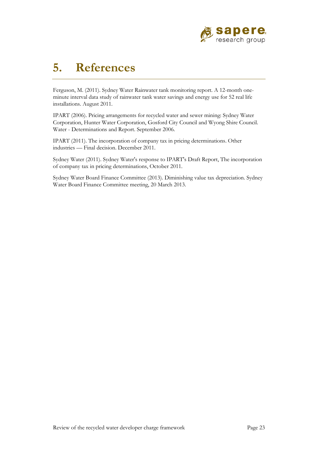

## **5. References**

Ferguson, M. (2011). Sydney Water Rainwater tank monitoring report. A 12-month oneminute interval data study of rainwater tank water savings and energy use for 52 real life installations. August 2011.

IPART (2006). Pricing arrangements for recycled water and sewer mining: Sydney Water Corporation, Hunter Water Corporation, Gosford City Council and Wyong Shire Council. Water - Determinations and Report. September 2006.

IPART (2011). The incorporation of company tax in pricing determinations. Other industries — Final decision. December 2011.

Sydney Water (2011). Sydney Water's response to IPART's Draft Report, The incorporation of company tax in pricing determinations, October 2011.

Sydney Water Board Finance Committee (2013). Diminishing value tax depreciation. Sydney Water Board Finance Committee meeting, 20 March 2013.